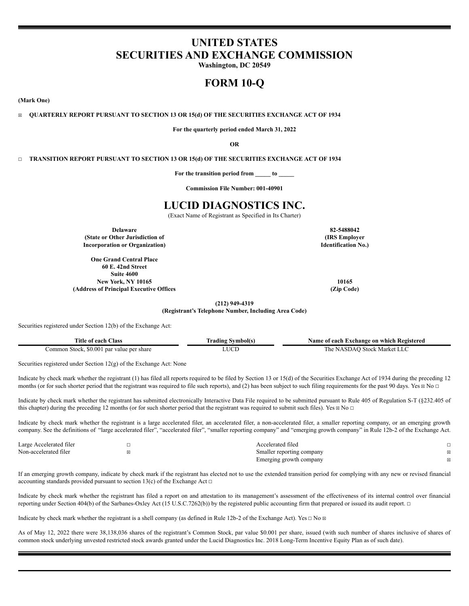# **UNITED STATES SECURITIES AND EXCHANGE COMMISSION**

**Washington, DC 20549**

# **FORM 10-Q**

**(Mark One)**

☒ **QUARTERLY REPORT PURSUANT TO SECTION 13 OR 15(d) OF THE SECURITIES EXCHANGE ACT OF 1934**

**For the quarterly period ended March 31, 2022**

**OR**

☐ **TRANSITION REPORT PURSUANT TO SECTION 13 OR 15(d) OF THE SECURITIES EXCHANGE ACT OF 1934**

**For the transition period from \_\_\_\_\_ to \_\_\_\_\_**

**Commission File Number: 001-40901**

# **LUCID DIAGNOSTICS INC.**

(Exact Name of Registrant as Specified in Its Charter)

**Delaware 82-5488042 (State or Other Jurisdiction of Incorporation or Organization) Identification No.)**

**One Grand Central Place 60 E. 42nd Street Suite 4600 New York, NY 10165 10165 (Address of Principal Executive Offices (Zip Code)**

**(212) 949-4319 (Registrant's Telephone Number, Including Area Code)**

Securities registered under Section 12(b) of the Exchange Act:

| Title<br>Class<br>each<br>- 0 T                       | Frading | . Exchange on which<br>- Registered<br>Name of<br>* each . |
|-------------------------------------------------------|---------|------------------------------------------------------------|
| - 0.001ه<br>:ommon<br>Stock.<br>. par value per share | ◡◡◡     | he<br>-stock-<br>. Market<br>SDA                           |

Securities registered under Section 12(g) of the Exchange Act: None

Indicate by check mark whether the registrant (1) has filed all reports required to be filed by Section 13 or 15(d) of the Securities Exchange Act of 1934 during the preceding 12 months (or for such shorter period that the registrant was required to file such reports), and (2) has been subject to such filing requirements for the past 90 days. Yes  $\boxtimes$  No  $\Box$ 

Indicate by check mark whether the registrant has submitted electronically Interactive Data File required to be submitted pursuant to Rule 405 of Regulation S-T (§232.405 of this chapter) during the preceding 12 months (or for such shorter period that the registrant was required to submit such files). Yes  $\boxtimes$  No  $\Box$ 

Indicate by check mark whether the registrant is a large accelerated filer, an accelerated filer, a non-accelerated filer, a smaller reporting company, or an emerging growth company. See the definitions of "large accelerated filer", "accelerated filer", "smaller reporting company" and "emerging growth company" in Rule 12b-2 of the Exchange Act.

| Large Accelerated filer | Accelerated filed         |  |
|-------------------------|---------------------------|--|
| Non-accelerated filer   | Smaller reporting company |  |
|                         | Emerging growth company   |  |

If an emerging growth company, indicate by check mark if the registrant has elected not to use the extended transition period for complying with any new or revised financial accounting standards provided pursuant to section 13(c) of the Exchange Act  $□$ 

Indicate by check mark whether the registrant has filed a report on and attestation to its management's assessment of the effectiveness of its internal control over financial reporting under Section 404(b) of the Sarbanes-Oxley Act (15 U.S.C.7262(b)) by the registered public accounting firm that prepared or issued its audit report. □

Indicate by check mark whether the registrant is a shell company (as defined in Rule 12b-2 of the Exchange Act). Yes  $\Box$  No  $\Box$ 

As of May 12, 2022 there were 38,138,036 shares of the registrant's Common Stock, par value \$0.001 per share, issued (with such number of shares inclusive of shares of common stock underlying unvested restricted stock awards granted under the Lucid Diagnostics Inc. 2018 Long-Term Incentive Equity Plan as of such date).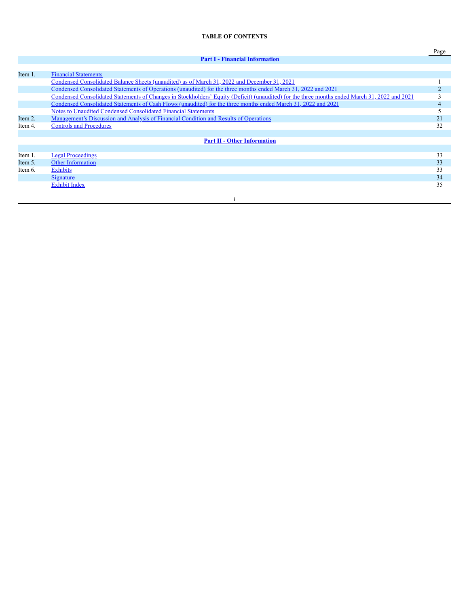# **TABLE OF CONTENTS**

# **Part I - Financial [Information](#page-2-0)**

| Item 1. | <b>Financial Statements</b>                                                                                                                   |    |
|---------|-----------------------------------------------------------------------------------------------------------------------------------------------|----|
|         | Condensed Consolidated Balance Sheets (unaudited) as of March 31, 2022 and December 31, 2021                                                  |    |
|         | Condensed Consolidated Statements of Operations (unaudited) for the three months ended March 31, 2022 and 2021                                |    |
|         | Condensed Consolidated Statements of Changes in Stockholders' Equity (Deficit) (unaudited) for the three months ended March 31, 2022 and 2021 |    |
|         | Condensed Consolidated Statements of Cash Flows (unaudited) for the three months ended March 31, 2022 and 2021                                |    |
|         | Notes to Unaudited Condensed Consolidated Financial Statements                                                                                |    |
| Item 2. | Management's Discussion and Analysis of Financial Condition and Results of Operations                                                         |    |
| Item 4. | <b>Controls and Procedures</b>                                                                                                                | 32 |
|         |                                                                                                                                               |    |
|         | <b>Part II - Other Information</b>                                                                                                            |    |
|         |                                                                                                                                               |    |
| Item 1. | <b>Legal Proceedings</b>                                                                                                                      | 33 |
| Item 5. | <b>Other Information</b>                                                                                                                      | 33 |
| Item 6. | <b>Exhibits</b>                                                                                                                               | 33 |
|         | Signature                                                                                                                                     | 34 |
|         | <b>Exhibit Index</b>                                                                                                                          | 35 |

i

Page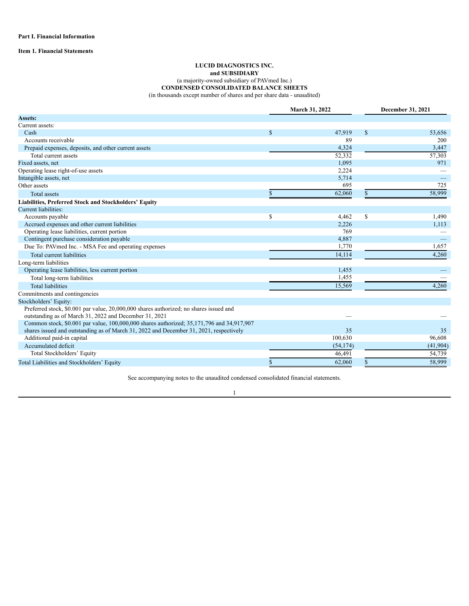# <span id="page-2-2"></span><span id="page-2-1"></span><span id="page-2-0"></span>**Item 1. Financial Statements**

# **LUCID DIAGNOSTICS INC. and SUBSIDIARY** (a majority-owned subsidiary of PAVmed Inc.) **CONDENSED CONSOLIDATED BALANCE SHEETS** (in thousands except number of shares and per share data - unaudited)

**March 31, 2022 December 31, 2021 Assets:** Current assets:  $\text{Cash}$   $\text{47,919}$   $\text{$}$   $\text{53,656}$ Accounts receivable 200 Prepaid expenses, deposits, and other current assets  $3,447$ Total current assets 57,303 57,303 57,303 57,303 57,303 57,303 57,303 57,303 57,303 57,303 57,303 57,303 57,303 57,303 57,303 57,303 57,303 57,303 57,303 57,303 57,303 57,303 57,1095 57,100 571 57,100 571 57,100 571 57,100 Fixed assets, net 1,095 971 Operating lease right-of-use assets 2,224 – 2,224 Intangible assets, net 1988 and 1988 and 1988 and 1988 and 1988 and 1988 and 1988 and 1988 and 1988 and 1988 and 1988 and 1988 and 1988 and 1988 and 1988 and 1988 and 1988 and 1988 and 1988 and 1988 and 1988 and 1988 and 1 Other assets 695 725 Total assets  $\sim$  58,999  $\sim$  58,999  $\sim$  58,000  $\sim$  58,999  $\sim$  58,000  $\sim$  58,000  $\sim$  58,000  $\sim$  58,000  $\sim$  58,000  $\sim$  58,000  $\sim$  58,000  $\sim$  58,000  $\sim$  58,000  $\sim$  58,000  $\sim$  58,000  $\sim$  58,000  $\sim$  58,000  $\sim$ **Liabilities, Preferred Stock and Stockholders' Equity** Current liabilities: Accounts payable **Accounts** 2,490 **and 2,490 1,490 6 1,490 6 1,490 6 1,490** Accrued expenses and other current liabilities 2,226 1,113 Operating lease liabilities, current portion 769<br>
Contingent purchase consideration payable 4,887 Contingent purchase consideration payable Due To: PAVmed Inc. - MSA Fee and operating expenses 1,657 1,657 1,657 Total current liabilities 14,260 Long-term liabilities Operating lease liabilities, less current portion 1,455 and 1,455 and 1,455 and 1,455 and 1,455 and 1,455 and 1,455 and 1,455 and 1,455 and 1,455 and 1,455 and 1,455 and 1,455 and 1,455 and 1,455 and 1,455 and 1,455 and 1, Total long-term liabilities Total liabilities **15,569** 4,260 4,260 4,260 4,260 4,260 4,260 4,260 4,260 4,260 4,260 4,260 4,260 4,260 4,260 4,260 4,260 4,260 4,260 4,260 4,260 4,260 4,260 4,260 4,260 4,260 4,260 4,260 4,260 4,260 4,260 4,260 4,260 4,2 Commitments and contingencies Stockholders' Equity: Preferred stock, \$0.001 par value, 20,000,000 shares authorized; no shares issued and outstanding as of March 31, 2022 and December 31, 2021 — — Common stock, \$0.001 par value, 100,000,000 shares authorized; 35,171,796 and 34,917,907 shares issued and outstanding as of March 31, 2022 and December 31, 2021, respectively 35 35 Additional paid-in capital 100,630 96,608 96,608 96,608 96,608 96,608 96,608 96,608 96,608 96,608 96,608 96,608 96,608 96,608 96,608 96,608 96,608 96,608 96,608 96,608 96,608 96,608 96,608 96,608 96,608 96,608 96,608 96,60 Accumulated deficit (54,174) (41,904) (41,904) Total Stockholders' Equity 54,739 Total Liabilities and Stockholders' Equity  $\overline{S}$  58,999  $\overline{S}$  58,999  $\overline{S}$  58,999

See accompanying notes to the unaudited condensed consolidated financial statements.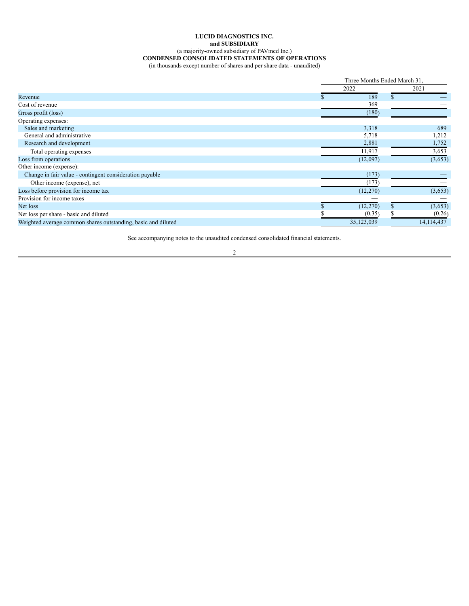# **LUCID DIAGNOSTICS INC. and SUBSIDIARY** (a majority-owned subsidiary of PAVmed Inc.) **CONDENSED CONSOLIDATED STATEMENTS OF OPERATIONS** (in thousands except number of shares and per share data - unaudited)

<span id="page-3-0"></span>

|                                                               | Three Months Ended March 31. |  |              |  |  |
|---------------------------------------------------------------|------------------------------|--|--------------|--|--|
|                                                               | 2022                         |  | 2021         |  |  |
| Revenue                                                       | 189                          |  |              |  |  |
| Cost of revenue                                               | 369                          |  |              |  |  |
| Gross profit (loss)                                           | (180)                        |  |              |  |  |
| Operating expenses:                                           |                              |  |              |  |  |
| Sales and marketing                                           | 3,318                        |  | 689          |  |  |
| General and administrative                                    | 5,718                        |  | 1,212        |  |  |
| Research and development                                      | 2,881                        |  | 1,752        |  |  |
| Total operating expenses                                      | 11,917                       |  | 3,653        |  |  |
| Loss from operations                                          | (12,097)                     |  | (3,653)      |  |  |
| Other income (expense):                                       |                              |  |              |  |  |
| Change in fair value - contingent consideration payable       | (173)                        |  |              |  |  |
| Other income (expense), net                                   | (173)                        |  |              |  |  |
| Loss before provision for income tax                          | (12,270)                     |  | (3,653)      |  |  |
| Provision for income taxes                                    |                              |  |              |  |  |
| Net loss                                                      | (12,270)                     |  | (3,653)      |  |  |
| Net loss per share - basic and diluted                        | (0.35)                       |  | (0.26)       |  |  |
| Weighted average common shares outstanding, basic and diluted | 35,123,039                   |  | 14, 114, 437 |  |  |

See accompanying notes to the unaudited condensed consolidated financial statements.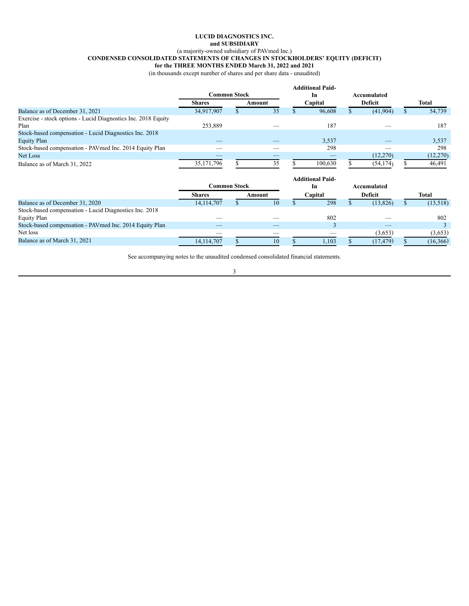# **LUCID DIAGNOSTICS INC. and SUBSIDIARY** (a majority-owned subsidiary of PAVmed Inc.) **CONDENSED CONSOLIDATED STATEMENTS OF CHANGES IN STOCKHOLDERS' EQUITY (DEFICIT) for the THREE MONTHS ENDED March 31, 2022 and 2021**

(in thousands except number of shares and per share data - unaudited)

<span id="page-4-0"></span>

|                                                               | <b>Common Stock</b> |                     |        |         | <b>Additional Paid-</b><br>In |  | Accumulated    |           |  |     |
|---------------------------------------------------------------|---------------------|---------------------|--------|---------|-------------------------------|--|----------------|-----------|--|-----|
|                                                               | <b>Shares</b>       |                     | Amount | Capital |                               |  | <b>Deficit</b> | Total     |  |     |
| Balance as of December 31, 2021                               | 34,917,907          |                     | 35     |         | 96,608                        |  | (41, 904)      | 54,739    |  |     |
| Exercise - stock options - Lucid Diagnostics Inc. 2018 Equity |                     |                     |        |         |                               |  |                |           |  |     |
| Plan                                                          | 253,889             |                     |        |         | 187                           |  |                | 187       |  |     |
| Stock-based compensation - Lucid Diagnostics Inc. 2018        |                     |                     |        |         |                               |  |                |           |  |     |
| <b>Equity Plan</b>                                            |                     |                     |        |         | 3,537                         |  |                | 3,537     |  |     |
| Stock-based compensation - PAVmed Inc. 2014 Equity Plan       |                     |                     |        |         | 298                           |  |                |           |  | 298 |
| Net Loss                                                      |                     |                     |        |         |                               |  | (12,270)       | (12, 270) |  |     |
| Balance as of March 31, 2022                                  | 35,171,796          |                     | 35     |         | 100,630                       |  | (54, 174)      | 46,491    |  |     |
|                                                               |                     |                     |        |         | <b>Additional Paid-</b>       |  |                |           |  |     |
|                                                               |                     | <b>Common Stock</b> |        |         | In                            |  | Accumulated    |           |  |     |
|                                                               | <b>Shares</b>       |                     | Amount |         | Capital                       |  | <b>Deficit</b> | Total     |  |     |
| Balance as of December 31, 2020                               | 14, 114, 707        |                     | 10     |         | 298                           |  | (13, 826)      | (13,518)  |  |     |
| Stock-based compensation - Lucid Diagnostics Inc. 2018        |                     |                     |        |         |                               |  |                |           |  |     |
| <b>Equity Plan</b>                                            |                     |                     |        |         | 802                           |  |                | 802       |  |     |
| Stock-based compensation - PAVmed Inc. 2014 Equity Plan       |                     |                     |        |         | 3                             |  |                |           |  |     |
| Net loss                                                      |                     |                     |        |         |                               |  | (3,653)        | (3,653)   |  |     |
| Balance as of March 31, 2021                                  | 14, 114, 707        |                     | 10     |         | 1,103                         |  | (17, 479)      | (16, 366) |  |     |

See accompanying notes to the unaudited condensed consolidated financial statements.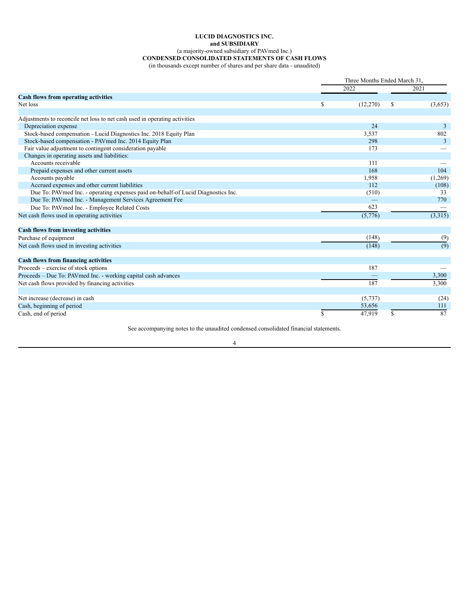# **LUCID DIAGNOSTICS INC. and SUBSIDIARY** (a majority-owned subsidiary of PAVmed Inc.) **CONDENSED CONSOLIDATED STATEMENTS OF CASH FLOWS** (in thousands except number of shares and per share data - unaudited)

<span id="page-5-0"></span>

|                                                                                   |   | Three Months Ended March 31. |      |         |  |  |  |  |  |
|-----------------------------------------------------------------------------------|---|------------------------------|------|---------|--|--|--|--|--|
|                                                                                   |   | 2022                         | 2021 |         |  |  |  |  |  |
| <b>Cash flows from operating activities</b>                                       |   |                              |      |         |  |  |  |  |  |
| Net loss                                                                          | S | (12,270)                     | S    | (3,653) |  |  |  |  |  |
|                                                                                   |   |                              |      |         |  |  |  |  |  |
| Adjustments to reconcile net loss to net cash used in operating activities        |   |                              |      |         |  |  |  |  |  |
| Depreciation expense                                                              |   | 24                           |      | 3       |  |  |  |  |  |
| Stock-based compensation - Lucid Diagnostics Inc. 2018 Equity Plan                |   | 3,537                        |      | 802     |  |  |  |  |  |
| Stock-based compensation - PAVmed Inc. 2014 Equity Plan                           |   | 298                          |      | 3       |  |  |  |  |  |
| Fair value adjustment to contingent consideration payable                         |   | 173                          |      |         |  |  |  |  |  |
| Changes in operating assets and liabilities:                                      |   |                              |      |         |  |  |  |  |  |
| Accounts receivable                                                               |   | 111                          |      |         |  |  |  |  |  |
| Prepaid expenses and other current assets                                         |   | 168                          |      | 104     |  |  |  |  |  |
| Accounts payable                                                                  |   | 1,958                        |      | (1,269) |  |  |  |  |  |
| Accrued expenses and other current liabilities                                    |   | 112                          |      | (108)   |  |  |  |  |  |
| Due To: PAVmed Inc. - operating expenses paid on-behalf-of Lucid Diagnostics Inc. |   | (510)                        |      | 33      |  |  |  |  |  |
| Due To: PAVmed Inc. - Management Services Agreement Fee                           |   |                              |      | 770     |  |  |  |  |  |
| Due To: PAVmed Inc. - Employee Related Costs                                      |   | 623                          |      |         |  |  |  |  |  |
| Net cash flows used in operating activities                                       |   | (5,776)                      |      | (3,315) |  |  |  |  |  |
| <b>Cash flows from investing activities</b>                                       |   |                              |      |         |  |  |  |  |  |
| Purchase of equipment                                                             |   | (148)                        |      | (9)     |  |  |  |  |  |
| Net cash flows used in investing activities                                       |   | (148)                        |      | (9)     |  |  |  |  |  |
| <b>Cash flows from financing activities</b>                                       |   |                              |      |         |  |  |  |  |  |
| Proceeds – exercise of stock options                                              |   | 187                          |      |         |  |  |  |  |  |
| Proceeds – Due To: PAVmed Inc. - working capital cash advances                    |   |                              |      | 3,300   |  |  |  |  |  |
| Net cash flows provided by financing activities                                   |   | 187                          |      | 3,300   |  |  |  |  |  |
| Net increase (decrease) in cash                                                   |   | (5,737)                      |      | (24)    |  |  |  |  |  |
| Cash, beginning of period                                                         |   | 53,656                       |      | 111     |  |  |  |  |  |
| Cash, end of period                                                               | S | 47,919                       | S    | 87      |  |  |  |  |  |

See accompanying notes to the unaudited condensed consolidated financial statements.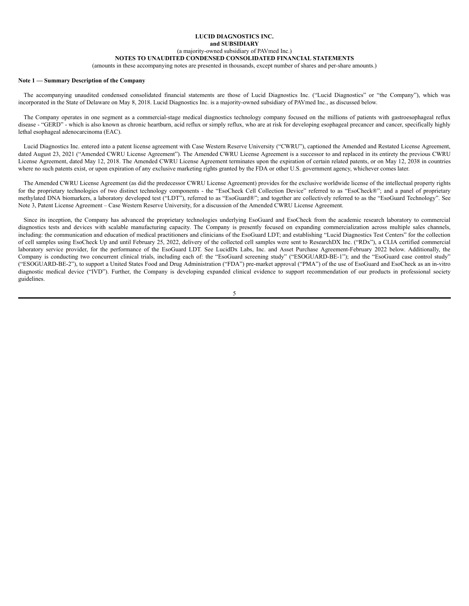# **LUCID DIAGNOSTICS INC. and SUBSIDIARY** (a majority-owned subsidiary of PAVmed Inc.) **NOTES TO UNAUDITED CONDENSED CONSOLIDATED FINANCIAL STATEMENTS** (amounts in these accompanying notes are presented in thousands, except number of shares and per-share amounts.)

#### <span id="page-6-0"></span>**Note 1 — Summary Description of the Company**

The accompanying unaudited condensed consolidated financial statements are those of Lucid Diagnostics Inc. ("Lucid Diagnostics" or "the Company"), which was incorporated in the State of Delaware on May 8, 2018. Lucid Diagnostics Inc. is a majority-owned subsidiary of PAVmed Inc., as discussed below.

The Company operates in one segment as a commercial-stage medical diagnostics technology company focused on the millions of patients with gastroesophageal reflux disease - "GERD" - which is also known as chronic heartburn, acid reflux or simply reflux, who are at risk for developing esophageal precancer and cancer, specifically highly lethal esophageal adenocarcinoma (EAC).

Lucid Diagnostics Inc. entered into a patent license agreement with Case Western Reserve University ("CWRU"), captioned the Amended and Restated License Agreement, dated August 23, 2021 ("Amended CWRU License Agreement"). The Amended CWRU License Agreement is a successor to and replaced in its entirety the previous CWRU License Agreement, dated May 12, 2018. The Amended CWRU License Agreement terminates upon the expiration of certain related patents, or on May 12, 2038 in countries where no such patents exist, or upon expiration of any exclusive marketing rights granted by the FDA or other U.S. government agency, whichever comes later.

The Amended CWRU License Agreement (as did the predecessor CWRU License Agreement) provides for the exclusive worldwide license of the intellectual property rights for the proprietary technologies of two distinct technology components - the "EsoCheck Cell Collection Device" referred to as "EsoCheck®"; and a panel of proprietary methylated DNA biomarkers, a laboratory developed test ("LDT"), referred to as "EsoGuard®"; and together are collectively referred to as the "EsoGuard Technology". See Note 3, Patent License Agreement – Case Western Reserve University, for a discussion of the Amended CWRU License Agreement.

Since its inception, the Company has advanced the proprietary technologies underlying EsoGuard and EsoCheck from the academic research laboratory to commercial diagnostics tests and devices with scalable manufacturing capacity. The Company is presently focused on expanding commercialization across multiple sales channels, including: the communication and education of medical practitioners and clinicians of the EsoGuard LDT; and establishing "Lucid Diagnostics Test Centers" for the collection of cell samples using EsoCheck Up and until February 25, 2022, delivery of the collected cell samples were sent to ResearchDX Inc. ("RDx"), a CLIA certified commercial laboratory service provider, for the performance of the EsoGuard LDT. See LucidDx Labs, Inc. and Asset Purchase Agreement-February 2022 below. Additionally, the Company is conducting two concurrent clinical trials, including each of: the "EsoGuard screening study" ("ESOGUARD-BE-1"); and the "EsoGuard case control study" ("ESOGUARD-BE-2"), to support a United States Food and Drug Administration ("FDA") pre-market approval ("PMA") of the use of EsoGuard and EsoCheck as an in-vitro diagnostic medical device ("IVD"). Further, the Company is developing expanded clinical evidence to support recommendation of our products in professional society guidelines.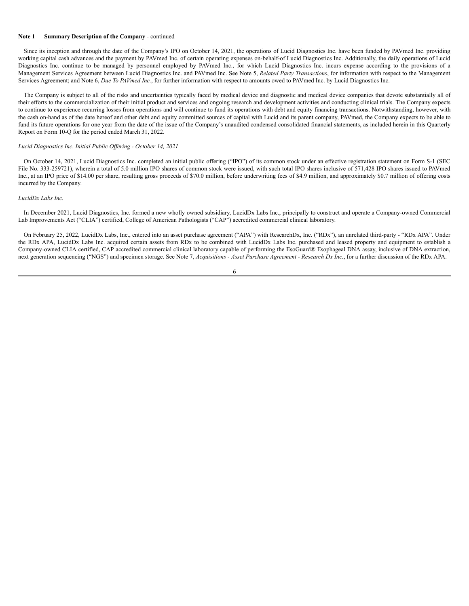# **Note 1 — Summary Description of the Company** - continued

Since its inception and through the date of the Company's IPO on October 14, 2021, the operations of Lucid Diagnostics Inc. have been funded by PAVmed Inc. providing working capital cash advances and the payment by PAVmed Inc. of certain operating expenses on-behalf-of Lucid Diagnostics Inc. Additionally, the daily operations of Lucid Diagnostics Inc. continue to be managed by personnel employed by PAVmed Inc., for which Lucid Diagnostics Inc. incurs expense according to the provisions of a Management Services Agreement between Lucid Diagnostics Inc. and PAVmed Inc. See Note 5, *Related Party Transactions*, for information with respect to the Management Services Agreement; and Note 6, *Due To PAVmed Inc.*, for further information with respect to amounts owed to PAVmed Inc. by Lucid Diagnostics Inc.

The Company is subject to all of the risks and uncertainties typically faced by medical device and diagnostic and medical device companies that devote substantially all of their efforts to the commercialization of their initial product and services and ongoing research and development activities and conducting clinical trials. The Company expects to continue to experience recurring losses from operations and will continue to fund its operations with debt and equity financing transactions. Notwithstanding, however, with the cash on-hand as of the date hereof and other debt and equity committed sources of capital with Lucid and its parent company, PAVmed, the Company expects to be able to fund its future operations for one year from the date of the issue of the Company's unaudited condensed consolidated financial statements, as included herein in this Quarterly Report on Form 10-Q for the period ended March 31, 2022.

#### *Lucid Diagnostics Inc. Initial Public Of ering - October 14, 2021*

On October 14, 2021, Lucid Diagnostics Inc. completed an initial public offering ("IPO") of its common stock under an effective registration statement on Form S-1 (SEC File No. 333-259721), wherein a total of 5.0 million IPO shares of common stock were issued, with such total IPO shares inclusive of 571,428 IPO shares issued to PAVmed Inc., at an IPO price of \$14.00 per share, resulting gross proceeds of \$70.0 million, before underwriting fees of \$4.9 million, and approximately \$0.7 million of offering costs incurred by the Company.

# *LucidDx Labs Inc.*

In December 2021, Lucid Diagnostics, Inc. formed a new wholly owned subsidiary, LucidDx Labs Inc., principally to construct and operate a Company-owned Commercial Lab Improvements Act ("CLIA") certified, College of American Pathologists ("CAP") accredited commercial clinical laboratory.

On February 25, 2022, LucidDx Labs, Inc., entered into an asset purchase agreement ("APA") with ResearchDx, Inc. ("RDx"), an unrelated third-party - "RDx APA". Under the RDx APA, LucidDx Labs Inc. acquired certain assets from RDx to be combined with LucidDx Labs Inc. purchased and leased property and equipment to establish a Company-owned CLIA certified, CAP accredited commercial clinical laboratory capable of performing the EsoGuard® Esophageal DNA assay, inclusive of DNA extraction, next generation sequencing ("NGS") and specimen storage. See Note 7, Acquisitions - Asset Purchase Agreement - Research Dx Inc., for a further discussion of the RDx APA.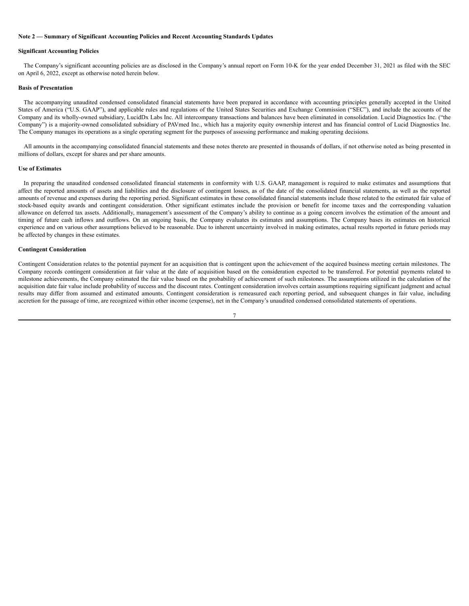# **Note 2 — Summary of Significant Accounting Policies and Recent Accounting Standards Updates**

#### **Significant Accounting Policies**

The Company's significant accounting policies are as disclosed in the Company's annual report on Form 10-K for the year ended December 31, 2021 as filed with the SEC on April 6, 2022, except as otherwise noted herein below.

#### **Basis of Presentation**

The accompanying unaudited condensed consolidated financial statements have been prepared in accordance with accounting principles generally accepted in the United States of America ("U.S. GAAP"), and applicable rules and regulations of the United States Securities and Exchange Commission ("SEC"), and include the accounts of the Company and its wholly-owned subsidiary, LucidDx Labs Inc. All intercompany transactions and balances have been eliminated in consolidation. Lucid Diagnostics Inc. ("the Company") is a majority-owned consolidated subsidiary of PAVmed Inc., which has a majority equity ownership interest and has financial control of Lucid Diagnostics Inc. The Company manages its operations as a single operating segment for the purposes of assessing performance and making operating decisions.

All amounts in the accompanying consolidated financial statements and these notes thereto are presented in thousands of dollars, if not otherwise noted as being presented in millions of dollars, except for shares and per share amounts.

# **Use of Estimates**

In preparing the unaudited condensed consolidated financial statements in conformity with U.S. GAAP, management is required to make estimates and assumptions that affect the reported amounts of assets and liabilities and the disclosure of contingent losses, as of the date of the consolidated financial statements, as well as the reported amounts of revenue and expenses during the reporting period. Significant estimates in these consolidated financial statements include those related to the estimated fair value of stock-based equity awards and contingent consideration. Other significant estimates include the provision or benefit for income taxes and the corresponding valuation allowance on deferred tax assets. Additionally, management's assessment of the Company's ability to continue as a going concern involves the estimation of the amount and timing of future cash inflows and outflows. On an ongoing basis, the Company evaluates its estimates and assumptions. The Company bases its estimates on historical experience and on various other assumptions believed to be reasonable. Due to inherent uncertainty involved in making estimates, actual results reported in future periods may be affected by changes in these estimates.

# **Contingent Consideration**

Contingent Consideration relates to the potential payment for an acquisition that is contingent upon the achievement of the acquired business meeting certain milestones. The Company records contingent consideration at fair value at the date of acquisition based on the consideration expected to be transferred. For potential payments related to milestone achievements, the Company estimated the fair value based on the probability of achievement of such milestones. The assumptions utilized in the calculation of the acquisition date fair value include probability of success and the discount rates. Contingent consideration involves certain assumptions requiring significant judgment and actual results may differ from assumed and estimated amounts. Contingent consideration is remeasured each reporting period, and subsequent changes in fair value, including accretion for the passage of time, are recognized within other income (expense), net in the Company's unaudited condensed consolidated statements of operations.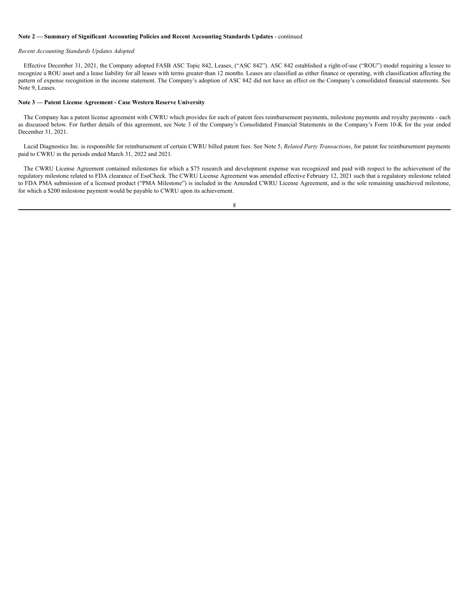# **Note 2 — Summary of Significant Accounting Policies and Recent Accounting Standards Updates** - continued

# *Recent Accounting Standards Updates Adopted*

Effective December 31, 2021, the Company adopted FASB ASC Topic 842, Leases, ("ASC 842"). ASC 842 established a right-of-use ("ROU") model requiring a lessee to recognize a ROU asset and a lease liability for all leases with terms greater-than 12 months. Leases are classified as either finance or operating, with classification affecting the pattern of expense recognition in the income statement. The Company's adoption of ASC 842 did not have an effect on the Company's consolidated financial statements. See Note 9, Leases.

#### **Note 3 — Patent License Agreement - Case Western Reserve University**

The Company has a patent license agreement with CWRU which provides for each of patent fees reimbursement payments, milestone payments and royalty payments - each as discussed below. For further details of this agreement, see Note 3 of the Company's Consolidated Financial Statements in the Company's Form 10-K for the year ended December 31, 2021.

Lucid Diagnostics Inc. is responsible for reimbursement of certain CWRU billed patent fees. See Note 5, *Related Party Transactions*, for patent fee reimbursement payments paid to CWRU in the periods ended March 31, 2022 and 2021.

The CWRU License Agreement contained milestones for which a \$75 research and development expense was recognized and paid with respect to the achievement of the regulatory milestone related to FDA clearance of EsoCheck. The CWRU License Agreement was amended effective February 12, 2021 such that a regulatory milestone related to FDA PMA submission of a licensed product ("PMA Milestone") is included in the Amended CWRU License Agreement, and is the sole remaining unachieved milestone, for which a \$200 milestone payment would be payable to CWRU upon its achievement.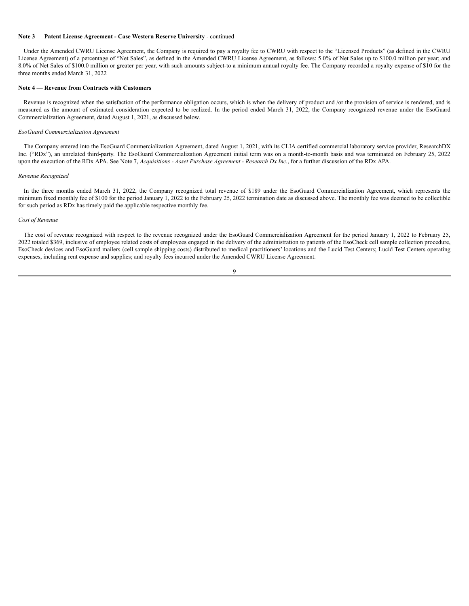# **Note 3 — Patent License Agreement - Case Western Reserve University** - continued

Under the Amended CWRU License Agreement, the Company is required to pay a royalty fee to CWRU with respect to the "Licensed Products" (as defined in the CWRU License Agreement) of a percentage of "Net Sales", as defined in the Amended CWRU License Agreement, as follows: 5.0% of Net Sales up to \$100.0 million per year; and 8.0% of Net Sales of \$100.0 million or greater per year, with such amounts subject-to a minimum annual royalty fee. The Company recorded a royalty expense of \$10 for the three months ended March 31, 2022

#### **Note 4 — Revenue from Contracts with Customers**

Revenue is recognized when the satisfaction of the performance obligation occurs, which is when the delivery of product and /or the provision of service is rendered, and is measured as the amount of estimated consideration expected to be realized. In the period ended March 31, 2022, the Company recognized revenue under the EsoGuard Commercialization Agreement, dated August 1, 2021, as discussed below.

# *EsoGuard Commercialization Agreement*

The Company entered into the EsoGuard Commercialization Agreement, dated August 1, 2021, with its CLIA certified commercial laboratory service provider, ResearchDX Inc. ("RDx"), an unrelated third-party. The EsoGuard Commercialization Agreement initial term was on a month-to-month basis and was terminated on February 25, 2022 upon the execution of the RDx APA. See Note 7, *Acquisitions - Asset Purchase Agreement - Research Dx Inc.*, for a further discussion of the RDx APA.

#### *Revenue Recognized*

In the three months ended March 31, 2022, the Company recognized total revenue of \$189 under the EsoGuard Commercialization Agreement, which represents the minimum fixed monthly fee of \$100 for the period January 1, 2022 to the February 25, 2022 termination date as discussed above. The monthly fee was deemed to be collectible for such period as RDx has timely paid the applicable respective monthly fee.

#### *Cost of Revenue*

The cost of revenue recognized with respect to the revenue recognized under the EsoGuard Commercialization Agreement for the period January 1, 2022 to February 25, 2022 totaled \$369, inclusive of employee related costs of employees engaged in the delivery of the administration to patients of the EsoCheck cell sample collection procedure, EsoCheck devices and EsoGuard mailers (cell sample shipping costs) distributed to medical practitioners' locations and the Lucid Test Centers; Lucid Test Centers operating expenses, including rent expense and supplies; and royalty fees incurred under the Amended CWRU License Agreement.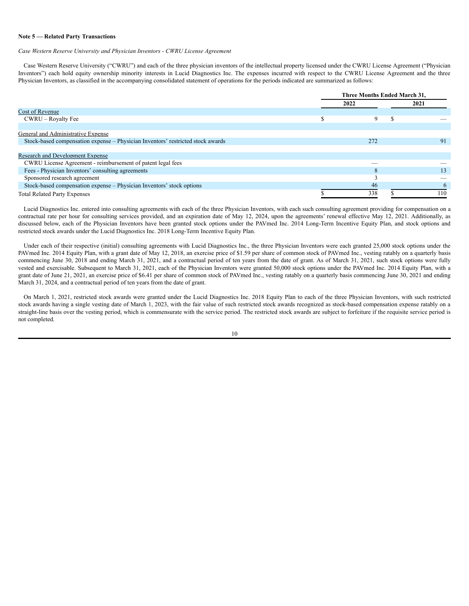# **Note 5 — Related Party Transactions**

*Case Western Reserve University and Physician Inventors - CWRU License Agreement*

Case Western Reserve University ("CWRU") and each of the three physician inventors of the intellectual property licensed under the CWRU License Agreement ("Physician Inventors") each hold equity ownership minority interests in Lucid Diagnostics Inc. The expenses incurred with respect to the CWRU License Agreement and the three Physician Inventors, as classified in the accompanying consolidated statement of operations for the periods indicated are summarized as follows:

|                                                                                 | <b>Three Months Ended March 31,</b> |  |      |  |  |
|---------------------------------------------------------------------------------|-------------------------------------|--|------|--|--|
|                                                                                 | 2022                                |  | 2021 |  |  |
| Cost of Revenue                                                                 |                                     |  |      |  |  |
| CWRU – Royalty Fee                                                              |                                     |  |      |  |  |
|                                                                                 |                                     |  |      |  |  |
| General and Administrative Expense                                              |                                     |  |      |  |  |
| Stock-based compensation expense - Physician Inventors' restricted stock awards | 272                                 |  | 91   |  |  |
|                                                                                 |                                     |  |      |  |  |
| <b>Research and Development Expense</b>                                         |                                     |  |      |  |  |
| CWRU License Agreement - reimbursement of patent legal fees                     |                                     |  |      |  |  |
| Fees - Physician Inventors' consulting agreements                               | 8                                   |  | 13   |  |  |
| Sponsored research agreement                                                    |                                     |  |      |  |  |
| Stock-based compensation expense – Physician Inventors' stock options           | 46                                  |  |      |  |  |
| <b>Total Related Party Expenses</b>                                             | 338                                 |  | 110  |  |  |

Lucid Diagnostics Inc. entered into consulting agreements with each of the three Physician Inventors, with each such consulting agreement providing for compensation on a contractual rate per hour for consulting services provided, and an expiration date of May 12, 2024, upon the agreements' renewal effective May 12, 2021. Additionally, as discussed below, each of the Physician Inventors have been granted stock options under the PAVmed Inc. 2014 Long-Term Incentive Equity Plan, and stock options and restricted stock awards under the Lucid Diagnostics Inc. 2018 Long-Term Incentive Equity Plan.

Under each of their respective (initial) consulting agreements with Lucid Diagnostics Inc., the three Physician Inventors were each granted 25,000 stock options under the PAVmed Inc. 2014 Equity Plan, with a grant date of May 12, 2018, an exercise price of \$1.59 per share of common stock of PAVmed Inc., vesting ratably on a quarterly basis commencing June 30, 2018 and ending March 31, 2021, and a contractual period of ten years from the date of grant. As of March 31, 2021, such stock options were fully vested and exercisable. Subsequent to March 31, 2021, each of the Physician Inventors were granted 50,000 stock options under the PAVmed Inc. 2014 Equity Plan, with a grant date of June 21, 2021, an exercise price of \$6.41 per share of common stock of PAVmed Inc., vesting ratably on a quarterly basis commencing June 30, 2021 and ending March 31, 2024, and a contractual period of ten years from the date of grant.

On March 1, 2021, restricted stock awards were granted under the Lucid Diagnostics Inc. 2018 Equity Plan to each of the three Physician Inventors, with such restricted stock awards having a single vesting date of March 1, 2023, with the fair value of such restricted stock awards recognized as stock-based compensation expense ratably on a straight-line basis over the vesting period, which is commensurate with the service period. The restricted stock awards are subject to forfeiture if the requisite service period is not completed.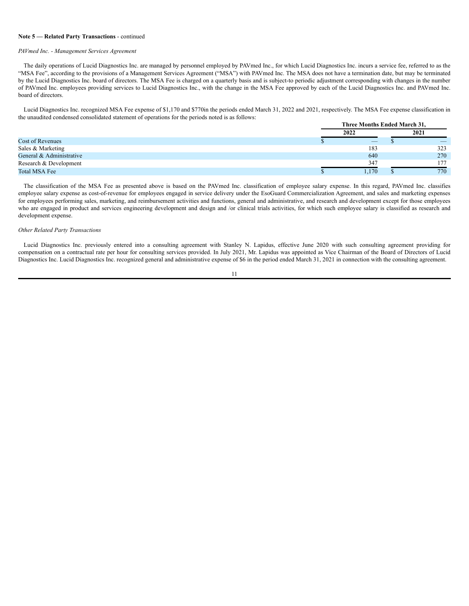# **Note 5 — Related Party Transactions** - continued

#### *PAVmed Inc. - Management Services Agreement*

The daily operations of Lucid Diagnostics Inc. are managed by personnel employed by PAVmed Inc., for which Lucid Diagnostics Inc. incurs a service fee, referred to as the "MSA Fee", according to the provisions of a Management Services Agreement ("MSA") with PAVmed Inc. The MSA does not have a termination date, but may be terminated by the Lucid Diagnostics Inc. board of directors. The MSA Fee is charged on a quarterly basis and is subject-to periodic adjustment corresponding with changes in the number of PAVmed Inc. employees providing services to Lucid Diagnostics Inc., with the change in the MSA Fee approved by each of the Lucid Diagnostics Inc. and PAVmed Inc. board of directors.

Lucid Diagnostics Inc. recognized MSA Fee expense of \$1,170 and \$770in the periods ended March 31, 2022 and 2021, respectively. The MSA Fee expense classification in the unaudited condensed consolidated statement of operations for the periods noted is as follows:

|                          | Three Months Ended March 31, |  |      |  |  |
|--------------------------|------------------------------|--|------|--|--|
|                          | 2022                         |  | 2021 |  |  |
| Cost of Revenues         |                              |  |      |  |  |
| Sales & Marketing        | 183                          |  | 323  |  |  |
| General & Administrative | 640                          |  | 270  |  |  |
| Research & Development   | 347                          |  | 177  |  |  |
| <b>Total MSA Fee</b>     | .170                         |  | 770  |  |  |

The classification of the MSA Fee as presented above is based on the PAVmed Inc. classification of employee salary expense. In this regard, PAVmed Inc. classifies employee salary expense as cost-of-revenue for employees engaged in service delivery under the EsoGuard Commercialization Agreement, and sales and marketing expenses for employees performing sales, marketing, and reimbursement activities and functions, general and administrative, and research and development except for those employees who are engaged in product and services engineering development and design and /or clinical trials activities, for which such employee salary is classified as research and development expense.

# *Other Related Party Transactions*

Lucid Diagnostics Inc. previously entered into a consulting agreement with Stanley N. Lapidus, effective June 2020 with such consulting agreement providing for compensation on a contractual rate per hour for consulting services provided. In July 2021, Mr. Lapidus was appointed as Vice Chairman of the Board of Directors of Lucid Diagnostics Inc. Lucid Diagnostics Inc. recognized general and administrative expense of \$6 in the period ended March 31, 2021 in connection with the consulting agreement.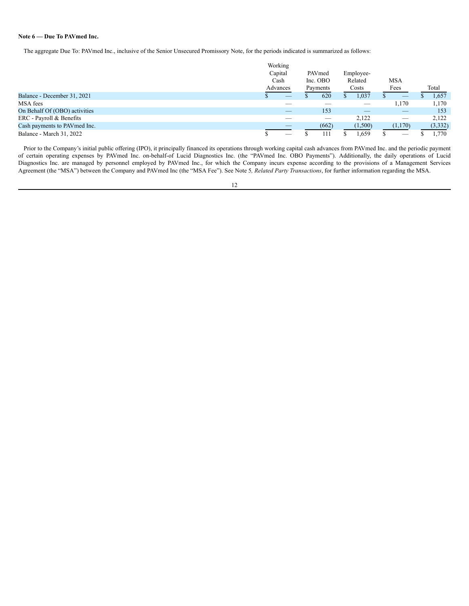# **Note 6 — Due To PAVmed Inc.**

The aggregate Due To: PAVmed Inc., inclusive of the Senior Unsecured Promissory Note, for the periods indicated is summarized as follows:

|                               | Working<br>Capital<br>Cash<br>Advances | PAVmed<br>Inc. OBO<br>Payments | Employee-<br>Related<br>Costs | MSA<br>Fees              | Total   |
|-------------------------------|----------------------------------------|--------------------------------|-------------------------------|--------------------------|---------|
| Balance - December 31, 2021   |                                        | 620                            | 1,037                         | _                        | 1,657   |
| MSA fees                      |                                        |                                |                               | 1,170                    | l.170   |
| On Behalf Of (OBO) activities |                                        | 153                            | _                             |                          | 153     |
| ERC - Payroll & Benefits      |                                        |                                | 2,122                         |                          | 2,122   |
| Cash payments to PAV med Inc. |                                        | (662)                          | (1,500)                       | (1,170)                  | (3,332) |
| Balance - March 31, 2022      | __                                     | 111                            | 1,659                         | $\overline{\phantom{a}}$ | l.770   |

Prior to the Company's initial public offering (IPO), it principally financed its operations through working capital cash advances from PAVmed Inc. and the periodic payment of certain operating expenses by PAVmed Inc. on-behalf-of Lucid Diagnostics Inc. (the "PAVmed Inc. OBO Payments"). Additionally, the daily operations of Lucid Diagnostics Inc. are managed by personnel employed by PAVmed Inc., for which the Company incurs expense according to the provisions of a Management Services Agreement (the "MSA") between the Company and PAVmed Inc (the "MSA Fee"). See Note 5*, Related Party Transactions*, for further information regarding the MSA.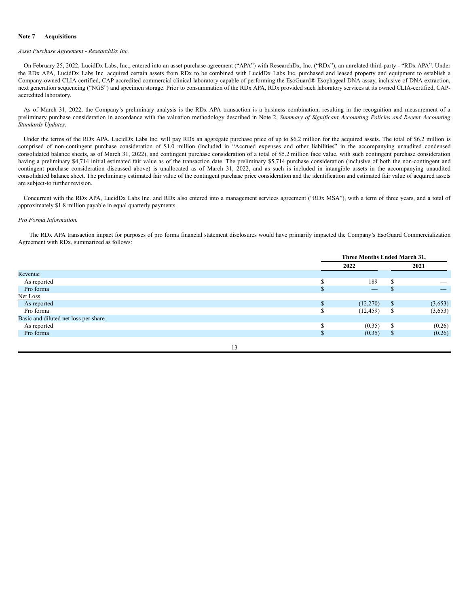# **Note 7 — Acquisitions**

#### *Asset Purchase Agreement - ResearchDx Inc.*

On February 25, 2022, LucidDx Labs, Inc., entered into an asset purchase agreement ("APA") with ResearchDx, Inc. ("RDx"), an unrelated third-party - "RDx APA". Under the RDx APA, LucidDx Labs Inc. acquired certain assets from RDx to be combined with LucidDx Labs Inc. purchased and leased property and equipment to establish a Company-owned CLIA certified, CAP accredited commercial clinical laboratory capable of performing the EsoGuard® Esophageal DNA assay, inclusive of DNA extraction, next generation sequencing ("NGS") and specimen storage. Prior to consummation of the RDx APA, RDx provided such laboratory services at its owned CLIA-certified, CAPaccredited laboratory.

As of March 31, 2022, the Company's preliminary analysis is the RDx APA transaction is a business combination, resulting in the recognition and measurement of a preliminary purchase consideration in accordance with the valuation methodology described in Note 2, *Summary of Significant Accounting Policies and Recent Accounting Standards Updates*.

Under the terms of the RDx APA, LucidDx Labs Inc. will pay RDx an aggregate purchase price of up to \$6.2 million for the acquired assets. The total of \$6.2 million is comprised of non-contingent purchase consideration of \$1.0 million (included in "Accrued expenses and other liabilities" in the accompanying unaudited condensed consolidated balance sheets, as of March 31, 2022), and contingent purchase consideration of a total of \$5.2 million face value, with such contingent purchase consideration having a preliminary \$4,714 initial estimated fair value as of the transaction date. The preliminary \$5,714 purchase consideration (inclusive of both the non-contingent and contingent purchase consideration discussed above) is unallocated as of March 31, 2022, and as such is included in intangible assets in the accompanying unaudited consolidated balance sheet. The preliminary estimated fair value of the contingent purchase price consideration and the identification and estimated fair value of acquired assets are subject-to further revision.

Concurrent with the RDx APA, LucidDx Labs Inc. and RDx also entered into a management services agreement ("RDx MSA"), with a term of three years, and a total of approximately \$1.8 million payable in equal quarterly payments.

# *Pro Forma Information.*

The RDx APA transaction impact for purposes of pro forma financial statement disclosures would have primarily impacted the Company's EsoGuard Commercialization Agreement with RDx, summarized as follows:

|                                      |    | Three Months Ended March 31,    |               |         |  |  |
|--------------------------------------|----|---------------------------------|---------------|---------|--|--|
|                                      |    | 2022                            |               | 2021    |  |  |
| Revenue                              |    |                                 |               |         |  |  |
| As reported                          | œ  | 189                             | S             |         |  |  |
| Pro forma                            | J. | $\hspace{0.1mm}-\hspace{0.1mm}$ |               | —       |  |  |
| Net Loss                             |    |                                 |               |         |  |  |
| As reported                          |    | (12,270)                        | -S            | (3,653) |  |  |
| Pro forma                            |    | (12, 459)                       | -S            | (3,653) |  |  |
| Basic and diluted net loss per share |    |                                 |               |         |  |  |
| As reported                          |    | (0.35)                          | <sup>\$</sup> | (0.26)  |  |  |
| Pro forma                            |    | (0.35)                          | <sup>\$</sup> | (0.26)  |  |  |
|                                      |    |                                 |               |         |  |  |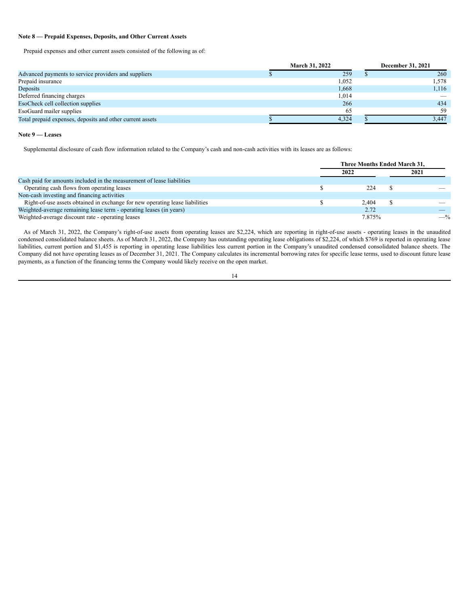# **Note 8 — Prepaid Expenses, Deposits, and Other Current Assets**

Prepaid expenses and other current assets consisted of the following as of:

|                                                           | <b>March 31, 2022</b> |       |  | <b>December 31, 2021</b> |
|-----------------------------------------------------------|-----------------------|-------|--|--------------------------|
| Advanced payments to service providers and suppliers      |                       | 259   |  | 260                      |
| Prepaid insurance                                         |                       | 1,052 |  | .578                     |
| Deposits                                                  |                       | 1,668 |  | 1,116                    |
| Deferred financing charges                                |                       | 1,014 |  |                          |
| EsoCheck cell collection supplies                         |                       | 266   |  | 434                      |
| EsoGuard mailer supplies                                  |                       | 65    |  | 59                       |
| Total prepaid expenses, deposits and other current assets |                       | 4,324 |  | 3,447                    |

# **Note 9 — Leases**

Supplemental disclosure of cash flow information related to the Company's cash and non-cash activities with its leases are as follows:

|                                                                              | <b>Three Months Ended March 31.</b> |  |      |       |  |
|------------------------------------------------------------------------------|-------------------------------------|--|------|-------|--|
|                                                                              | 2022                                |  | 2021 |       |  |
| Cash paid for amounts included in the measurement of lease liabilities       |                                     |  |      |       |  |
| Operating cash flows from operating leases                                   | 224                                 |  |      |       |  |
| Non-cash investing and financing activities                                  |                                     |  |      |       |  |
| Right-of-use assets obtained in exchange for new operating lease liabilities | 2.404                               |  |      |       |  |
| Weighted-average remaining lease term - operating leases (in years)          | 2.72                                |  |      |       |  |
| Weighted-average discount rate - operating leases                            | 7.875%                              |  |      | $-$ % |  |

As of March 31, 2022, the Company's right-of-use assets from operating leases are \$2,224, which are reporting in right-of-use assets - operating leases in the unaudited condensed consolidated balance sheets. As of March 31, 2022, the Company has outstanding operating lease obligations of \$2,224, of which \$769 is reported in operating lease liabilities, current portion and \$1,455 is reporting in operating lease liabilities less current portion in the Company's unaudited condensed consolidated balance sheets. The Company did not have operating leases as of December 31, 2021. The Company calculates its incremental borrowing rates for specific lease terms, used to discount future lease payments, as a function of the financing terms the Company would likely receive on the open market.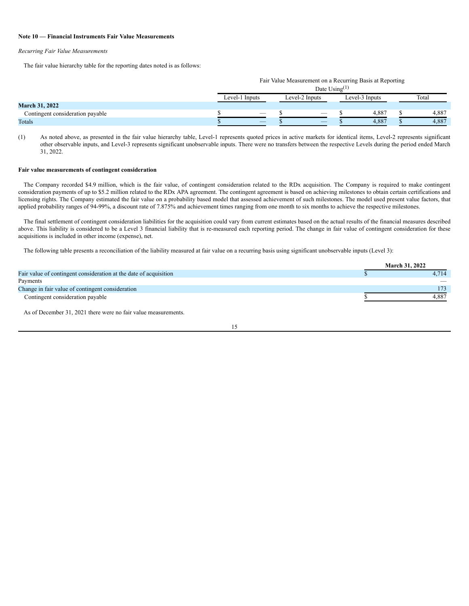# **Note 10 — Financial Instruments Fair Value Measurements**

# *Recurring Fair Value Measurements*

The fair value hierarchy table for the reporting dates noted is as follows:

|                                  | T'ail value ivieasulement on a Recurring Basis at Reporting |                               |  |                |  |                |       |
|----------------------------------|-------------------------------------------------------------|-------------------------------|--|----------------|--|----------------|-------|
|                                  | Date $Using(1)$                                             |                               |  |                |  |                |       |
|                                  | Level-1 Inputs                                              |                               |  | Level-2 Inputs |  | Level-3 Inputs | Total |
| <b>March 31, 2022</b>            |                                                             |                               |  |                |  |                |       |
| Contingent consideration payable |                                                             | $\overbrace{\phantom{12332}}$ |  |                |  | 4,887          | 4,887 |
| Totals                           |                                                             |                               |  |                |  | 4,887          | 4,887 |

Fair Value Measurement on a Recurring Basis at Reporting

(1) As noted above, as presented in the fair value hierarchy table, Level-1 represents quoted prices in active markets for identical items, Level-2 represents significant other observable inputs, and Level-3 represents significant unobservable inputs. There were no transfers between the respective Levels during the period ended March 31, 2022.

#### **Fair value measurements of contingent consideration**

The Company recorded \$4.9 million, which is the fair value, of contingent consideration related to the RDx acquisition. The Company is required to make contingent consideration payments of up to \$5.2 million related to the RDx APA agreement. The contingent agreement is based on achieving milestones to obtain certain certifications and licensing rights. The Company estimated the fair value on a probability based model that assessed achievement of such milestones. The model used present value factors, that applied probability ranges of 94-99%, a discount rate of 7.875% and achievement times ranging from one month to six months to achieve the respective milestones.

The final settlement of contingent consideration liabilities for the acquisition could vary from current estimates based on the actual results of the financial measures described above. This liability is considered to be a Level 3 financial liability that is re-measured each reporting period. The change in fair value of contingent consideration for these acquisitions is included in other income (expense), net.

The following table presents a reconciliation of the liability measured at fair value on a recurring basis using significant unobservable inputs (Level 3):

|                                                                   | <b>March 31, 2022</b> |
|-------------------------------------------------------------------|-----------------------|
| Fair value of contingent consideration at the date of acquisition | 4.714                 |
| Payments                                                          |                       |
| Change in fair value of contingent consideration                  |                       |
| Contingent consideration payable                                  | 4.887                 |
|                                                                   |                       |

As of December 31, 2021 there were no fair value measurements.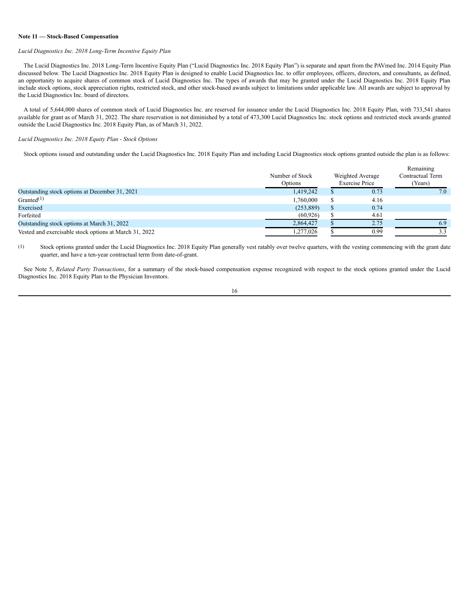# **Note 11 — Stock-Based Compensation**

# *Lucid Diagnostics Inc. 2018 Long-Term Incentive Equity Plan*

The Lucid Diagnostics Inc. 2018 Long-Term Incentive Equity Plan ("Lucid Diagnostics Inc. 2018 Equity Plan") is separate and apart from the PAVmed Inc. 2014 Equity Plan discussed below. The Lucid Diagnostics Inc. 2018 Equity Plan is designed to enable Lucid Diagnostics Inc. to offer employees, officers, directors, and consultants, as defined, an opportunity to acquire shares of common stock of Lucid Diagnostics Inc. The types of awards that may be granted under the Lucid Diagnostics Inc. 2018 Equity Plan include stock options, stock appreciation rights, restricted stock, and other stock-based awards subject to limitations under applicable law. All awards are subject to approval by the Lucid Diagnostics Inc. board of directors.

A total of 5,644,000 shares of common stock of Lucid Diagnostics Inc. are reserved for issuance under the Lucid Diagnostics Inc. 2018 Equity Plan, with 733,541 shares available for grant as of March 31, 2022. The share reservation is not diminished by a total of 473,300 Lucid Diagnostics Inc. stock options and restricted stock awards granted outside the Lucid Diagnostics Inc. 2018 Equity Plan, as of March 31, 2022.

# *Lucid Diagnostics Inc. 2018 Equity Plan - Stock Options*

Stock options issued and outstanding under the Lucid Diagnostics Inc. 2018 Equity Plan and including Lucid Diagnostics stock options granted outside the plan is as follows:

|                                                        | Number of Stock<br>Options |   | Weighted Average<br><b>Exercise Price</b> | Remaining<br>Contractual Term<br>(Years) |
|--------------------------------------------------------|----------------------------|---|-------------------------------------------|------------------------------------------|
| Outstanding stock options at December 31, 2021         | 1,419,242                  |   | 0.73                                      | 7.0                                      |
| Granted $(1)$                                          | 1.760.000                  |   | 4.16                                      |                                          |
| Exercised                                              | (253, 889)                 | 8 | 0.74                                      |                                          |
| Forfeited                                              | (60, 926)                  |   | 4.61                                      |                                          |
| Outstanding stock options at March 31, 2022            | 2,864,427                  |   | 2.75                                      | 6.9                                      |
| Vested and exercisable stock options at March 31, 2022 | 1,277,026                  |   | 0.99                                      |                                          |

(1) Stock options granted under the Lucid Diagnostics Inc. 2018 Equity Plan generally vest ratably over twelve quarters, with the vesting commencing with the grant date quarter, and have a ten-year contractual term from date-of-grant.

See Note 5, *Related Party Transactions*, for a summary of the stock-based compensation expense recognized with respect to the stock options granted under the Lucid Diagnostics Inc. 2018 Equity Plan to the Physician Inventors.

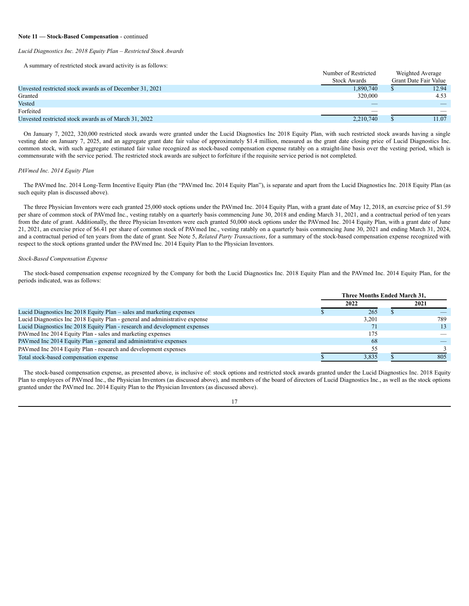# **Note 11 — Stock-Based Compensation** - continued

# *Lucid Diagnostics Inc. 2018 Equity Plan – Restricted Stock Awards*

A summary of restricted stock award activity is as follows:

|                                                          | Number of Restricted |  | Weighted Average      |
|----------------------------------------------------------|----------------------|--|-----------------------|
|                                                          | <b>Stock Awards</b>  |  | Grant Date Fair Value |
| Unvested restricted stock awards as of December 31, 2021 | 1,890,740            |  | 12.94                 |
| Granted                                                  | 320,000              |  | 4.53                  |
| Vested                                                   |                      |  |                       |
| Forfeited                                                |                      |  |                       |
| Unvested restricted stock awards as of March 31, 2022    | 2,210,740            |  | 11.07                 |

On January 7, 2022, 320,000 restricted stock awards were granted under the Lucid Diagnostics Inc 2018 Equity Plan, with such restricted stock awards having a single vesting date on January 7, 2025, and an aggregate grant date fair value of approximately \$1.4 million, measured as the grant date closing price of Lucid Diagnostics Inc. common stock, with such aggregate estimated fair value recognized as stock-based compensation expense ratably on a straight-line basis over the vesting period, which is commensurate with the service period. The restricted stock awards are subject to forfeiture if the requisite service period is not completed.

#### *PAVmed Inc. 2014 Equity Plan*

The PAVmed Inc. 2014 Long-Term Incentive Equity Plan (the "PAVmed Inc. 2014 Equity Plan"), is separate and apart from the Lucid Diagnostics Inc. 2018 Equity Plan (as such equity plan is discussed above).

The three Physician Inventors were each granted 25,000 stock options under the PAVmed Inc. 2014 Equity Plan, with a grant date of May 12, 2018, an exercise price of \$1.59 per share of common stock of PAVmed Inc., vesting ratably on a quarterly basis commencing June 30, 2018 and ending March 31, 2021, and a contractual period of ten years from the date of grant. Additionally, the three Physician Inventors were each granted 50,000 stock options under the PAVmed Inc. 2014 Equity Plan, with a grant date of June 21, 2021, an exercise price of \$6.41 per share of common stock of PAVmed Inc., vesting ratably on a quarterly basis commencing June 30, 2021 and ending March 31, 2024, and a contractual period of ten years from the date of grant. See Note 5, *Related Party Transactions*, for a summary of the stock-based compensation expense recognized with respect to the stock options granted under the PAVmed Inc. 2014 Equity Plan to the Physician Inventors.

# *Stock-Based Compensation Expense*

The stock-based compensation expense recognized by the Company for both the Lucid Diagnostics Inc. 2018 Equity Plan and the PAVmed Inc. 2014 Equity Plan, for the periods indicated, was as follows:

|                                                                             | <b>Three Months Ended March 31.</b> |  |      |
|-----------------------------------------------------------------------------|-------------------------------------|--|------|
|                                                                             | 2022                                |  | 2021 |
| Lucid Diagnostics Inc 2018 Equity Plan – sales and marketing expenses       | 265                                 |  |      |
| Lucid Diagnostics Inc 2018 Equity Plan - general and administrative expense | 3.201                               |  | 789  |
| Lucid Diagnostics Inc 2018 Equity Plan - research and development expenses  |                                     |  |      |
| PAV med Inc 2014 Equity Plan - sales and marketing expenses                 | 175                                 |  |      |
| PAV med Inc 2014 Equity Plan - general and administrative expenses          | 68                                  |  |      |
| PAV med Inc 2014 Equity Plan - research and development expenses            | 55                                  |  |      |
| Total stock-based compensation expense                                      | 3.835                               |  | 805  |

The stock-based compensation expense, as presented above, is inclusive of: stock options and restricted stock awards granted under the Lucid Diagnostics Inc. 2018 Equity Plan to employees of PAVmed Inc., the Physician Inventors (as discussed above), and members of the board of directors of Lucid Diagnostics Inc., as well as the stock options granted under the PAVmed Inc. 2014 Equity Plan to the Physician Inventors (as discussed above).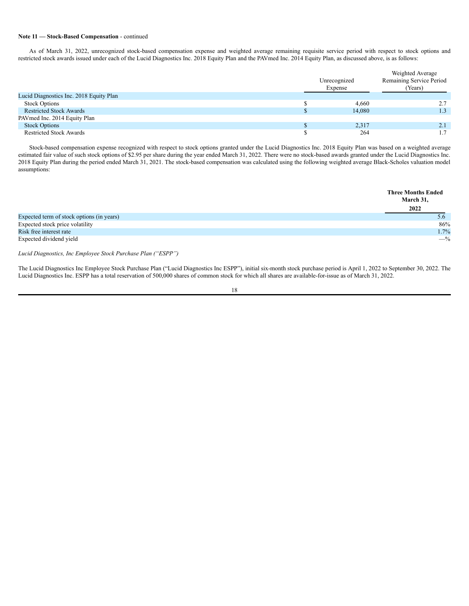# **Note 11 — Stock-Based Compensation** - continued

As of March 31, 2022, unrecognized stock-based compensation expense and weighted average remaining requisite service period with respect to stock options and restricted stock awards issued under each of the Lucid Diagnostics Inc. 2018 Equity Plan and the PAVmed Inc. 2014 Equity Plan, as discussed above, is as follows:

|                                         |                         | Weighted Average                    |
|-----------------------------------------|-------------------------|-------------------------------------|
|                                         | Unrecognized<br>Expense | Remaining Service Period<br>(Years) |
| Lucid Diagnostics Inc. 2018 Equity Plan |                         |                                     |
| <b>Stock Options</b>                    | 4,660                   | 2.7                                 |
| <b>Restricted Stock Awards</b>          | 14,080                  | 1.3                                 |
| PAVmed Inc. 2014 Equity Plan            |                         |                                     |
| <b>Stock Options</b>                    | 2,317                   | 2.1                                 |
| <b>Restricted Stock Awards</b>          | 264                     | 1.7                                 |

Stock-based compensation expense recognized with respect to stock options granted under the Lucid Diagnostics Inc. 2018 Equity Plan was based on a weighted average estimated fair value of such stock options of \$2.95 per share during the year ended March 31, 2022. There were no stock-based awards granted under the Lucid Diagnostics Inc. 2018 Equity Plan during the period ended March 31, 2021. The stock-based compensation was calculated using the following weighted average Black-Scholes valuation model assumptions:

|                                           | <b>Three Months Ended</b><br>March 31,<br>2022 |
|-------------------------------------------|------------------------------------------------|
| Expected term of stock options (in years) | 5.6                                            |
| Expected stock price volatility           | 86%                                            |
| Risk free interest rate                   | 1.7%                                           |
| Expected dividend yield                   | $-$ %                                          |

*Lucid Diagnostics, Inc Employee Stock Purchase Plan ("ESPP")*

The Lucid Diagnostics Inc Employee Stock Purchase Plan ("Lucid Diagnostics Inc ESPP"), initial six-month stock purchase period is April 1, 2022 to September 30, 2022. The Lucid Diagnostics Inc. ESPP has a total reservation of 500,000 shares of common stock for which all shares are available-for-issue as of March 31, 2022.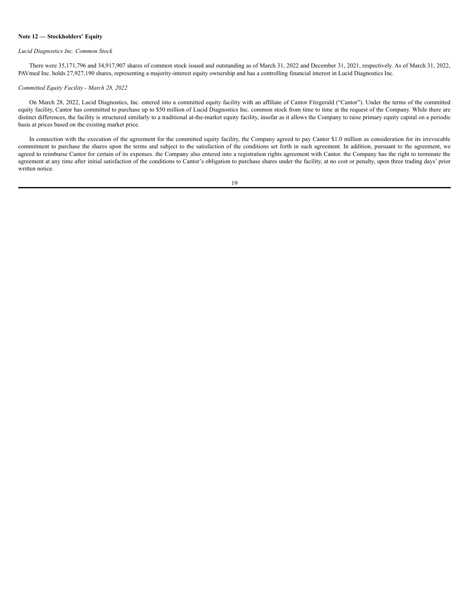# **Note 12 — Stockholders' Equity**

# *Lucid Diagnostics Inc. Common Stock*

There were 35,171,796 and 34,917,907 shares of common stock issued and outstanding as of March 31, 2022 and December 31, 2021, respectively. As of March 31, 2022, PAVmed Inc. holds 27,927,190 shares, representing a majority-interest equity ownership and has a controlling financial interest in Lucid Diagnostics Inc.

#### *Committed Equity Facility - March 28, 2022*

On March 28, 2022, Lucid Diagnostics, Inc. entered into a committed equity facility with an affiliate of Cantor Fitzgerald ("Cantor"). Under the terms of the committed equity facility, Cantor has committed to purchase up to \$50 million of Lucid Diagnostics Inc. common stock from time to time at the request of the Company. While there are distinct differences, the facility is structured similarly to a traditional at-the-market equity facility, insofar as it allows the Company to raise primary equity capital on a periodic basis at prices based on the existing market price.

In connection with the execution of the agreement for the committed equity facility, the Company agreed to pay Cantor \$1.0 million as consideration for its irrevocable commitment to purchase the shares upon the terms and subject to the satisfaction of the conditions set forth in such agreement. In addition, pursuant to the agreement, we agreed to reimburse Cantor for certain of its expenses. the Company also entered into a registration rights agreement with Cantor. the Company has the right to terminate the agreement at any time after initial satisfaction of the conditions to Cantor's obligation to purchase shares under the facility, at no cost or penalty, upon three trading days' prior written notice.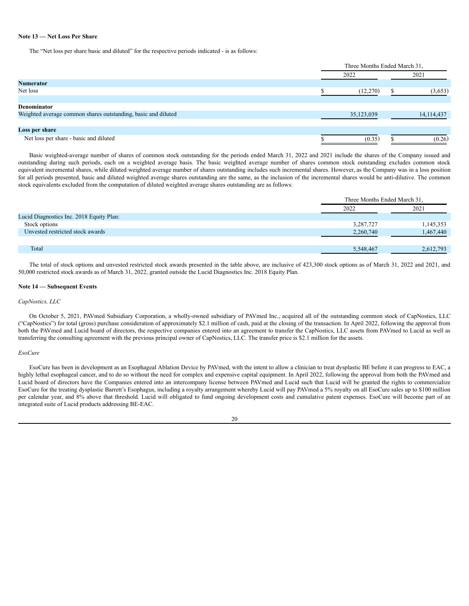# **Note 13 — Net Loss Per Share**

The "Net loss per share basic and diluted" for the respective periods indicated - is as follows:

|                                                               |            | Three Months Ended March 31. |              |  |  |
|---------------------------------------------------------------|------------|------------------------------|--------------|--|--|
|                                                               | 2022       |                              | 2021         |  |  |
| <b>Numerator</b>                                              |            |                              |              |  |  |
| Net loss                                                      | (12,270)   |                              | (3,653)      |  |  |
|                                                               |            |                              |              |  |  |
| Denominator                                                   |            |                              |              |  |  |
| Weighted average common shares outstanding, basic and diluted | 35,123,039 |                              | 14, 114, 437 |  |  |
|                                                               |            |                              |              |  |  |
| Loss per share                                                |            |                              |              |  |  |
| Net loss per share - basic and diluted                        | (0.35)     |                              | (0.26)       |  |  |

Basic weighted-average number of shares of common stock outstanding for the periods ended March 31, 2022 and 2021 include the shares of the Company issued and outstanding during such periods, each on a weighted average basis. The basic weighted average number of shares common stock outstanding excludes common stock equivalent incremental shares, while diluted weighted average number of shares outstanding includes such incremental shares. However, as the Company was in a loss position for all periods presented, basic and diluted weighted average shares outstanding are the same, as the inclusion of the incremental shares would be anti-dilutive. The common stock equivalents excluded from the computation of diluted weighted average shares outstanding are as follows:

|                                          |           | Three Months Ended March 31, |  |  |
|------------------------------------------|-----------|------------------------------|--|--|
|                                          | 2022      | 2021                         |  |  |
| Lucid Diagnostics Inc. 2018 Equity Plan: |           |                              |  |  |
| Stock options                            | 3,287,727 | 1,145,353                    |  |  |
| Unvested restricted stock awards         | 2,260,740 | 1,467,440                    |  |  |
|                                          |           |                              |  |  |
| Total                                    | 5,548,467 | 2,612,793                    |  |  |
|                                          |           |                              |  |  |

The total of stock options and unvested restricted stock awards presented in the table above, are inclusive of 423,300 stock options as of March 31, 2022 and 2021, and 50,000 restricted stock awards as of March 31, 2022, granted outside the Lucid Diagnostics Inc. 2018 Equity Plan.

# **Note 14 — Subsequent Events**

# *CapNostics, LLC*

On October 5, 2021, PAVmed Subsidiary Corporation, a wholly-owned subsidiary of PAVmed Inc., acquired all of the outstanding common stock of CapNostics, LLC ("CapNostics") for total (gross) purchase consideration of approximately \$2.1 million of cash, paid at the closing of the transaction. In April 2022, following the approval from both the PAVmed and Lucid board of directors, the respective companies entered into an agreement to transfer the CapNostics, LLC assets from PAVmed to Lucid as well as transferring the consulting agreement with the previous principal owner of CapNostics, LLC. The transfer price is \$2.1 million for the assets.

#### *EsoCure*

EsoCure has been in development as an Esophageal Ablation Device by PAVmed, with the intent to allow a clinician to treat dysplastic BE before it can progress to EAC, a highly lethal esophageal cancer, and to do so without the need for complex and expensive capital equipment. In April 2022, following the approval from both the PAVmed and Lucid board of directors have the Companies entered into an intercompany license between PAVmed and Lucid such that Lucid will be granted the rights to commercialize EsoCure for the treating dysplastic Barrett's Esophagus, including a royalty arrangement whereby Lucid will pay PAVmed a 5% royalty on all EsoCure sales up to \$100 million per calendar year, and 8% above that threshold. Lucid will obligated to fund ongoing development costs and cumulative patent expenses. EsoCure will become part of an integrated suite of Lucid products addressing BE-EAC.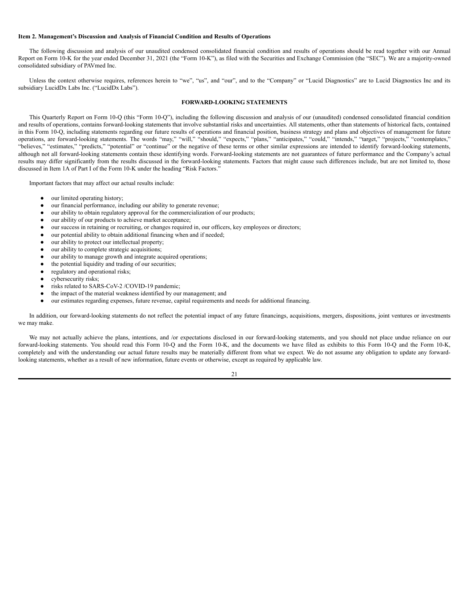# <span id="page-22-0"></span>**Item 2. Management's Discussion and Analysis of Financial Condition and Results of Operations**

The following discussion and analysis of our unaudited condensed consolidated financial condition and results of operations should be read together with our Annual Report on Form 10-K for the year ended December 31, 2021 (the "Form 10-K"), as filed with the Securities and Exchange Commission (the "SEC"). We are a majority-owned consolidated subsidiary of PAVmed Inc.

Unless the context otherwise requires, references herein to "we", "us", and "our", and to the "Company" or "Lucid Diagnostics" are to Lucid Diagnostics Inc and its subsidiary LucidDx Labs Inc. ("LucidDx Labs").

# **FORWARD-LOOKING STATEMENTS**

This Quarterly Report on Form 10-Q (this "Form 10-Q"), including the following discussion and analysis of our (unaudited) condensed consolidated financial condition and results of operations, contains forward-looking statements that involve substantial risks and uncertainties. All statements, other than statements of historical facts, contained in this Form 10-Q, including statements regarding our future results of operations and financial position, business strategy and plans and objectives of management for future operations, are forward-looking statements. The words "may," "will," "should," "expects," "plans," "anticipates," "could," "intends," "target," "projects," "contemplates," "believes," "estimates," "predicts," "potential" or "continue" or the negative of these terms or other similar expressions are intended to identify forward-looking statements, although not all forward-looking statements contain these identifying words. Forward-looking statements are not guarantees of future performance and the Company's actual results may differ significantly from the results discussed in the forward-looking statements. Factors that might cause such differences include, but are not limited to, those discussed in Item 1A of Part I of the Form 10-K under the heading "Risk Factors."

Important factors that may affect our actual results include:

- our limited operating history;
- our financial performance, including our ability to generate revenue;
- our ability to obtain regulatory approval for the commercialization of our products;
- our ability of our products to achieve market acceptance;
- our success in retaining or recruiting, or changes required in, our officers, key employees or directors;
- our potential ability to obtain additional financing when and if needed;
- our ability to protect our intellectual property;
- our ability to complete strategic acquisitions;
- our ability to manage growth and integrate acquired operations;
- the potential liquidity and trading of our securities;
- regulatory and operational risks;
- cybersecurity risks;
- risks related to SARS-CoV-2 /COVID-19 pandemic;
- the impact of the material weakness identified by our management; and
- our estimates regarding expenses, future revenue, capital requirements and needs for additional financing.

In addition, our forward-looking statements do not reflect the potential impact of any future financings, acquisitions, mergers, dispositions, joint ventures or investments we may make.

We may not actually achieve the plans, intentions, and /or expectations disclosed in our forward-looking statements, and you should not place undue reliance on our forward-looking statements. You should read this Form 10-Q and the Form 10-K, and the documents we have filed as exhibits to this Form 10-Q and the Form 10-K, completely and with the understanding our actual future results may be materially different from what we expect. We do not assume any obligation to update any forwardlooking statements, whether as a result of new information, future events or otherwise, except as required by applicable law.

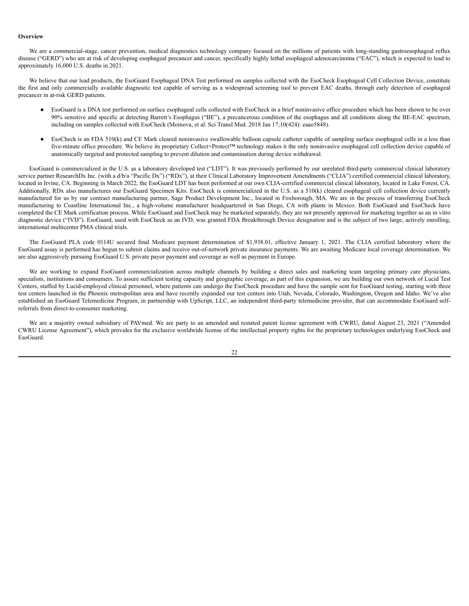# **Overview**

We are a commercial-stage, cancer prevention, medical diagnostics technology company focused on the millions of patients with long-standing gastroesophageal reflux disease ("GERD") who are at risk of developing esophageal precancer and cancer, specifically highly lethal esophageal adenocarcinoma ("EAC"), which is expected to lead to approximately 16,000 U.S. deaths in 2021.

We believe that our lead products, the EsoGuard Esophageal DNA Test performed on samples collected with the EsoCheck Esophageal Cell Collection Device, constitute the first and only commercially available diagnostic test capable of serving as a widespread screening tool to prevent EAC deaths, through early detection of esophageal precancer in at-risk GERD patients.

- EsoGuard is a DNA test performed on surface esophageal cells collected with EsoCheck in a brief noninvasive office procedure which has been shown to be over 90% sensitive and specific at detecting Barrett's Esophagus ("BE"), a precancerous condition of the esophagus and all conditions along the BE-EAC spectrum, including on samples collected with EsoCheck (Moinova, et al. Sci Transl Med. 2018 Jan 17;10(424): eaao5848).
- EsoCheck is an FDA  $510(k)$  and CE Mark cleared noninvasive swallowable balloon capsule catheter capable of sampling surface esophageal cells in a less than five-minute office procedure. We believe its proprietary Collect+Protect™ technology makes it the only noninvasive esophageal cell collection device capable of anatomically targeted and protected sampling to prevent dilution and contamination during device withdrawal.

EsoGuard is commercialized in the U.S. as a laboratory developed test ("LDT"). It was previously performed by our unrelated third-party commercial clinical laboratory service partner ResearchDx Inc. (with a d/b/a "Pacific Dx") ("RDx"), at their Clinical Laboratory Improvement Amendments ("CLIA") certified commercial clinical laboratory, located in Irvine, CA. Beginning in March 2022, the EsoGuard LDT has been performed at our own CLIA-certified commercial clinical laboratory, located in Lake Forest, CA. Additionally, RDx also manufactures our EsoGuard Specimen Kits. EsoCheck is commercialized in the U.S. as a 510(k) cleared esophageal cell collection device currently manufactured for us by our contract manufacturing partner, Sage Product Development Inc., located in Foxborough, MA. We are in the process of transferring EsoCheck manufacturing to Coastline International Inc., a high-volume manufacturer headquartered in San Diego, CA with plants in Mexico. Both EsoGuard and EsoCheck have completed the CE Mark certification process. While EsoGuard and EsoCheck may be marketed separately, they are not presently approved for marketing together as an in vitro diagnostic device ("IVD"). EsoGuard, used with EsoCheck as an IVD, was granted FDA Breakthrough Device designation and is the subject of two large, actively enrolling, international multicenter PMA clinical trials.

The EsoGuard PLA code 0114U secured final Medicare payment determination of \$1,938.01, effective January 1, 2021. The CLIA certified laboratory where the EsoGuard assay is performed has begun to submit claims and receive out-of-network private insurance payments. We are awaiting Medicare local coverage determination. We are also aggressively pursuing EsoGuard U.S. private payor payment and coverage as well as payment in Europe.

We are working to expand EsoGuard commercialization across multiple channels by building a direct sales and marketing team targeting primary care physicians, specialists, institutions and consumers. To assure sufficient testing capacity and geographic coverage, as part of this expansion, we are building our own network of Lucid Test Centers, staffed by Lucid-employed clinical personnel, where patients can undergo the EsoCheck procedure and have the sample sent for EsoGuard testing, starting with three test centers launched in the Phoenix metropolitan area and have recently expanded our test centers into Utah, Nevada, Colorado, Washington, Oregon and Idaho. We've also established an EsoGuard Telemedicine Program, in partnership with UpScript, LLC, an independent third-party telemedicine provider, that can accommodate EsoGuard selfreferrals from direct-to-consumer marketing.

We are a majority owned subsidiary of PAVmed. We are party to an amended and restated patent license agreement with CWRU, dated August 23, 2021 ("Amended CWRU License Agreement"), which provides for the exclusive worldwide license of the intellectual property rights for the proprietary technologies underlying EsoCheck and EsoGuard.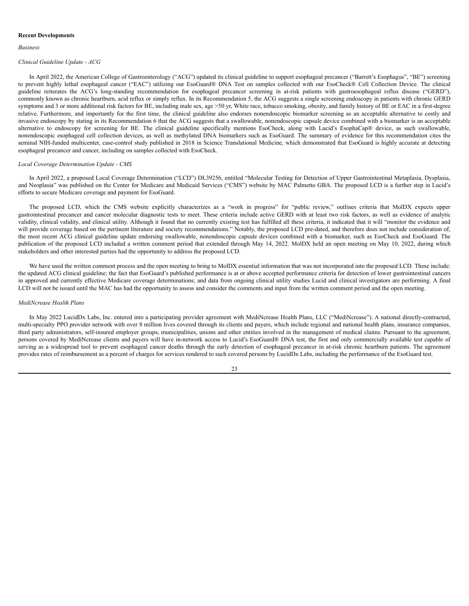#### **Recent Developments**

*Business*

# *Clinical Guideline Update - ACG*

In April 2022, the American College of Gastroenterology ("ACG") updated its clinical guideline to support esophageal precancer ("Barrett's Esophagus", "BE") screening to prevent highly lethal esophageal cancer ("EAC") utilizing our EsoGuard® DNA Test on samples collected with our EsoCheck® Cell Collection Device. The clinical guideline reiterates the ACG's long-standing recommendation for esophageal precancer screening in at-risk patients with gastroesophageal reflux disease ("GERD"), commonly known as chronic heartburn, acid reflux or simply reflux. In its Recommendation 5, the ACG suggests a single screening endoscopy in patients with chronic GERD symptoms and 3 or more additional risk factors for BE, including male sex, age >50 yr, White race, tobacco smoking, obesity, and family history of BE or EAC in a first-degree relative. Furthermore, and importantly for the first time, the clinical guideline also endorses nonendoscopic biomarker screening as an acceptable alternative to costly and invasive endoscopy by stating in its Recommendation 6 that the ACG suggests that a swallowable, nonendoscopic capsule device combined with a biomarker is an acceptable alternative to endoscopy for screening for BE. The clinical guideline specifically mentions EsoCheck, along with Lucid's EsophaCap® device, as such swallowable, nonendoscopic esophageal cell collection devices, as well as methylated DNA biomarkers such as EsoGuard. The summary of evidence for this recommendation cites the seminal NIH-funded multicenter, case-control study published in 2018 in Science Translational Medicine, which demonstrated that EsoGuard is highly accurate at detecting esophageal precancer and cancer, including on samples collected with EsoCheck.

#### *Local Coverage Determination Update - CMS*

In April 2022, a proposed Local Coverage Determination ("LCD") DL39256, entitled "Molecular Testing for Detection of Upper Gastrointestinal Metaplasia, Dysplasia, and Neoplasia" was published on the Center for Medicare and Medicaid Services ("CMS") website by MAC Palmetto GBA. The proposed LCD is a further step in Lucid's efforts to secure Medicare coverage and payment for EsoGuard.

The proposed LCD, which the CMS website explicitly characterizes as a "work in progress" for "public review," outlines criteria that MolDX expects upper gastrointestinal precancer and cancer molecular diagnostic tests to meet. These criteria include active GERD with at least two risk factors, as well as evidence of analytic validity, clinical validity, and clinical utility. Although it found that no currently existing test has fulfilled all these criteria, it indicated that it will "monitor the evidence and will provide coverage based on the pertinent literature and society recommendations." Notably, the proposed LCD pre-dated, and therefore does not include consideration of, the most recent ACG clinical guideline update endorsing swallowable, nonendoscopic capsule devices combined with a biomarker, such as EsoCheck and EsoGuard. The publication of the proposed LCD included a written comment period that extended through May 14, 2022. MolDX held an open meeting on May 10, 2022, during which stakeholders and other interested parties had the opportunity to address the proposed LCD.

We have used the written comment process and the open meeting to bring to MolDX essential information that was not incorporated into the proposed LCD. These include: the updated ACG clinical guideline; the fact that EsoGuard's published performance is at or above accepted performance criteria for detection of lower gastrointestinal cancers in approved and currently effective Medicare coverage determinations; and data from ongoing clinical utility studies Lucid and clinical investigators are performing. A final LCD will not be issued until the MAC has had the opportunity to assess and consider the comments and input from the written comment period and the open meeting.

### *MediNcrease Health Plans*

In May 2022 LucidDx Labs, Inc. entered into a participating provider agreement with MediNcrease Health Plans, LLC ("MediNcrease"). A national directly-contracted, multi-specialty PPO provider network with over 8 million lives covered through its clients and payers, which include regional and national health plans, insurance companies, third party administrators, self-insured employer groups, municipalities, unions and other entities involved in the management of medical claims. Pursuant to the agreement, persons covered by MediNcrease clients and payers will have in-network access to Lucid's EsoGuard® DNA test, the first and only commercially available test capable of serving as a widespread tool to prevent esophageal cancer deaths through the early detection of esophageal precancer in at-risk chronic heartburn patients. The agreement provides rates of reimbursement as a percent of charges for services rendered to such covered persons by LucidDx Labs, including the performance of the EsoGuard test.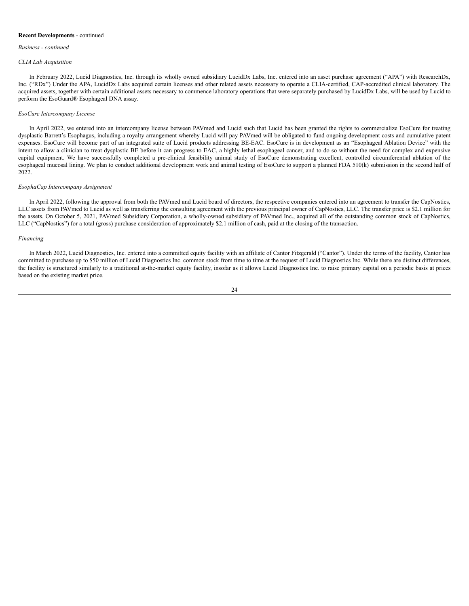#### **Recent Developments** - continued

#### *Business - continued*

# *CLIA Lab Acquisition*

In February 2022, Lucid Diagnostics, Inc. through its wholly owned subsidiary LucidDx Labs, Inc. entered into an asset purchase agreement ("APA") with ResearchDx, Inc. ("RDx") Under the APA, LucidDx Labs acquired certain licenses and other related assets necessary to operate a CLIA-certified, CAP-accredited clinical laboratory. The acquired assets, together with certain additional assets necessary to commence laboratory operations that were separately purchased by LucidDx Labs, will be used by Lucid to perform the EsoGuard® Esophageal DNA assay.

# *EsoCure Intercompany License*

In April 2022, we entered into an intercompany license between PAVmed and Lucid such that Lucid has been granted the rights to commercialize EsoCure for treating dysplastic Barrett's Esophagus, including a royalty arrangement whereby Lucid will pay PAVmed will be obligated to fund ongoing development costs and cumulative patent expenses. EsoCure will become part of an integrated suite of Lucid products addressing BE-EAC. EsoCure is in development as an "Esophageal Ablation Device" with the intent to allow a clinician to treat dysplastic BE before it can progress to EAC, a highly lethal esophageal cancer, and to do so without the need for complex and expensive capital equipment. We have successfully completed a pre-clinical feasibility animal study of EsoCure demonstrating excellent, controlled circumferential ablation of the esophageal mucosal lining. We plan to conduct additional development work and animal testing of EsoCure to support a planned FDA 510(k) submission in the second half of 2022.

# *EsophaCap Intercompany Assignment*

In April 2022, following the approval from both the PAVmed and Lucid board of directors, the respective companies entered into an agreement to transfer the CapNostics, LLC assets from PAVmed to Lucid as well as transferring the consulting agreement with the previous principal owner of CapNostics, LLC. The transfer price is \$2.1 million for the assets. On October 5, 2021, PAVmed Subsidiary Corporation, a wholly-owned subsidiary of PAVmed Inc., acquired all of the outstanding common stock of CapNostics, LLC ("CapNostics") for a total (gross) purchase consideration of approximately \$2.1 million of cash, paid at the closing of the transaction.

# *Financing*

In March 2022, Lucid Diagnostics, Inc. entered into a committed equity facility with an affiliate of Cantor Fitzgerald ("Cantor"). Under the terms of the facility, Cantor has committed to purchase up to \$50 million of Lucid Diagnostics Inc. common stock from time to time at the request of Lucid Diagnostics Inc. While there are distinct differences, the facility is structured similarly to a traditional at-the-market equity facility, insofar as it allows Lucid Diagnostics Inc. to raise primary capital on a periodic basis at prices based on the existing market price.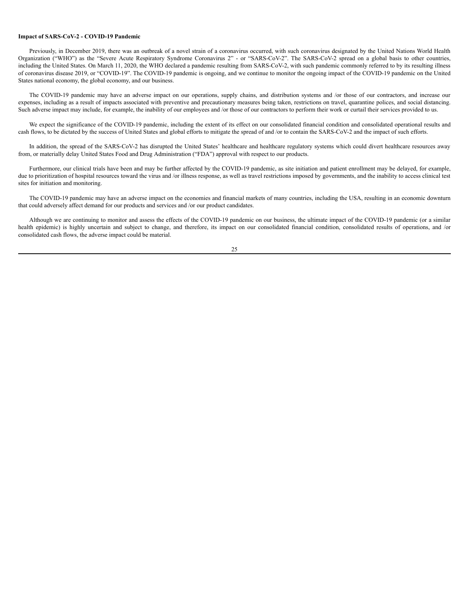#### **Impact of SARS-CoV-2 - COVID-19 Pandemic**

Previously, in December 2019, there was an outbreak of a novel strain of a coronavirus occurred, with such coronavirus designated by the United Nations World Health Organization ("WHO") as the "Severe Acute Respiratory Syndrome Coronavirus 2" - or "SARS-CoV-2". The SARS-CoV-2 spread on a global basis to other countries, including the United States. On March 11, 2020, the WHO declared a pandemic resulting from SARS-CoV-2, with such pandemic commonly referred to by its resulting illness of coronavirus disease 2019, or "COVID-19". The COVID-19 pandemic is ongoing, and we continue to monitor the ongoing impact of the COVID-19 pandemic on the United States national economy, the global economy, and our business.

The COVID-19 pandemic may have an adverse impact on our operations, supply chains, and distribution systems and /or those of our contractors, and increase our expenses, including as a result of impacts associated with preventive and precautionary measures being taken, restrictions on travel, quarantine polices, and social distancing. Such adverse impact may include, for example, the inability of our employees and /or those of our contractors to perform their work or curtail their services provided to us.

We expect the significance of the COVID-19 pandemic, including the extent of its effect on our consolidated financial condition and consolidated operational results and cash flows, to be dictated by the success of United States and global efforts to mitigate the spread of and /or to contain the SARS-CoV-2 and the impact of such efforts.

In addition, the spread of the SARS-CoV-2 has disrupted the United States' healthcare and healthcare regulatory systems which could divert healthcare resources away from, or materially delay United States Food and Drug Administration ("FDA") approval with respect to our products.

Furthermore, our clinical trials have been and may be further affected by the COVID-19 pandemic, as site initiation and patient enrollment may be delayed, for example, due to prioritization of hospital resources toward the virus and /or illness response, as well as travel restrictions imposed by governments, and the inability to access clinical test sites for initiation and monitoring.

The COVID-19 pandemic may have an adverse impact on the economies and financial markets of many countries, including the USA, resulting in an economic downturn that could adversely affect demand for our products and services and /or our product candidates.

Although we are continuing to monitor and assess the effects of the COVID-19 pandemic on our business, the ultimate impact of the COVID-19 pandemic (or a similar health epidemic) is highly uncertain and subject to change, and therefore, its impact on our consolidated financial condition, consolidated results of operations, and /or consolidated cash flows, the adverse impact could be material.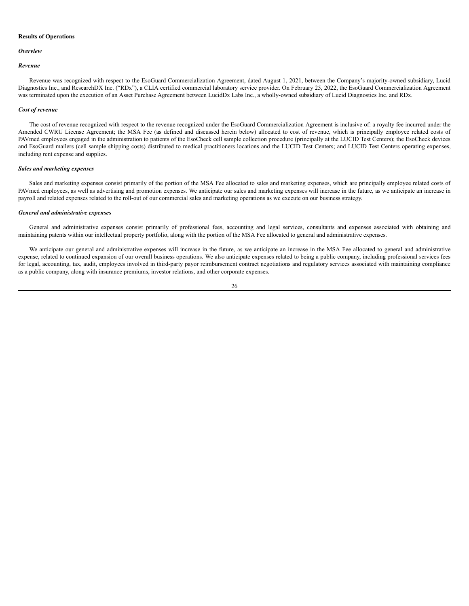# **Results of Operations**

# *Overview*

#### *Revenue*

Revenue was recognized with respect to the EsoGuard Commercialization Agreement, dated August 1, 2021, between the Company's majority-owned subsidiary, Lucid Diagnostics Inc., and ResearchDX Inc. ("RDx"), a CLIA certified commercial laboratory service provider. On February 25, 2022, the EsoGuard Commercialization Agreement was terminated upon the execution of an Asset Purchase Agreement between LucidDx Labs Inc., a wholly-owned subsidiary of Lucid Diagnostics Inc. and RDx.

# *Cost of revenue*

The cost of revenue recognized with respect to the revenue recognized under the EsoGuard Commercialization Agreement is inclusive of: a royalty fee incurred under the Amended CWRU License Agreement; the MSA Fee (as defined and discussed herein below) allocated to cost of revenue, which is principally employee related costs of PAVmed employees engaged in the administration to patients of the EsoCheck cell sample collection procedure (principally at the LUCID Test Centers); the EsoCheck devices and EsoGuard mailers (cell sample shipping costs) distributed to medical practitioners locations and the LUCID Test Centers; and LUCID Test Centers operating expenses, including rent expense and supplies.

#### *Sales and marketing expenses*

Sales and marketing expenses consist primarily of the portion of the MSA Fee allocated to sales and marketing expenses, which are principally employee related costs of PAVmed employees, as well as advertising and promotion expenses. We anticipate our sales and marketing expenses will increase in the future, as we anticipate an increase in payroll and related expenses related to the roll-out of our commercial sales and marketing operations as we execute on our business strategy.

# *General and administrative expenses*

General and administrative expenses consist primarily of professional fees, accounting and legal services, consultants and expenses associated with obtaining and maintaining patents within our intellectual property portfolio, along with the portion of the MSA Fee allocated to general and administrative expenses.

We anticipate our general and administrative expenses will increase in the future, as we anticipate an increase in the MSA Fee allocated to general and administrative expense, related to continued expansion of our overall business operations. We also anticipate expenses related to being a public company, including professional services fees for legal, accounting, tax, audit, employees involved in third-party payor reimbursement contract negotiations and regulatory services associated with maintaining compliance as a public company, along with insurance premiums, investor relations, and other corporate expenses.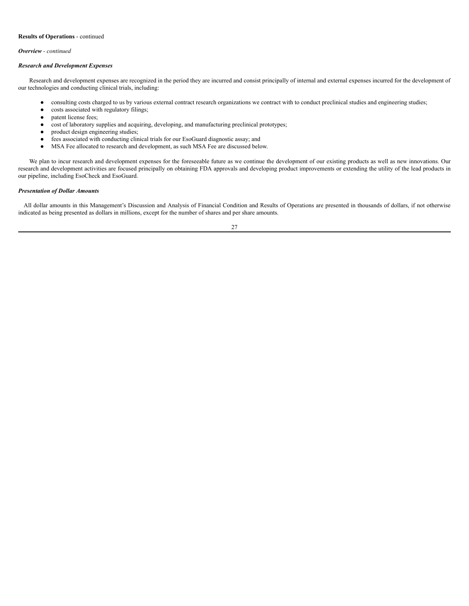# **Results of Operations** - continued

# *Overview - continued*

#### *Research and Development Expenses*

Research and development expenses are recognized in the period they are incurred and consist principally of internal and external expenses incurred for the development of our technologies and conducting clinical trials, including:

- consulting costs charged to us by various external contract research organizations we contract with to conduct preclinical studies and engineering studies;
- costs associated with regulatory filings;
- patent license fees;
- cost of laboratory supplies and acquiring, developing, and manufacturing preclinical prototypes;
- product design engineering studies;
- fees associated with conducting clinical trials for our EsoGuard diagnostic assay; and
- MSA Fee allocated to research and development, as such MSA Fee are discussed below.

We plan to incur research and development expenses for the foreseeable future as we continue the development of our existing products as well as new innovations. Our research and development activities are focused principally on obtaining FDA approvals and developing product improvements or extending the utility of the lead products in our pipeline, including EsoCheck and EsoGuard.

# *Presentation of Dollar Amounts*

All dollar amounts in this Management's Discussion and Analysis of Financial Condition and Results of Operations are presented in thousands of dollars, if not otherwise indicated as being presented as dollars in millions, except for the number of shares and per share amounts.

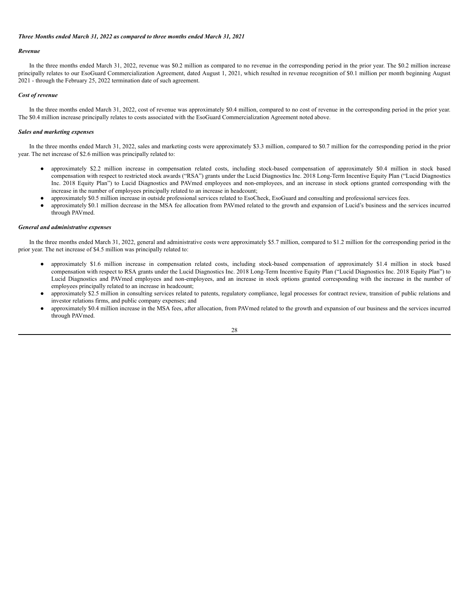# *Three Months ended March 31, 2022 as compared to three months ended March 31, 2021*

#### *Revenue*

In the three months ended March 31, 2022, revenue was \$0.2 million as compared to no revenue in the corresponding period in the prior year. The \$0.2 million increase principally relates to our EsoGuard Commercialization Agreement, dated August 1, 2021, which resulted in revenue recognition of \$0.1 million per month beginning August 2021 - through the February 25, 2022 termination date of such agreement.

#### *Cost of revenue*

In the three months ended March 31, 2022, cost of revenue was approximately \$0.4 million, compared to no cost of revenue in the corresponding period in the prior year. The \$0.4 million increase principally relates to costs associated with the EsoGuard Commercialization Agreement noted above.

#### *Sales and marketing expenses*

In the three months ended March 31, 2022, sales and marketing costs were approximately \$3.3 million, compared to \$0.7 million for the corresponding period in the prior year. The net increase of \$2.6 million was principally related to:

- approximately \$2.2 million increase in compensation related costs, including stock-based compensation of approximately \$0.4 million in stock based compensation with respect to restricted stock awards ("RSA") grants under the Lucid Diagnostics Inc. 2018 Long-Term Incentive Equity Plan ("Lucid Diagnostics Inc. 2018 Equity Plan") to Lucid Diagnostics and PAVmed employees and non-employees, and an increase in stock options granted corresponding with the increase in the number of employees principally related to an increase in headcount;
- approximately \$0.5 million increase in outside professional services related to EsoCheck, EsoGuard and consulting and professional services fees.
- approximately \$0.1 million decrease in the MSA fee allocation from PAVmed related to the growth and expansion of Lucid's business and the services incurred through PAVmed.

#### *General and administrative expenses*

In the three months ended March 31, 2022, general and administrative costs were approximately \$5.7 million, compared to \$1.2 million for the corresponding period in the prior year. The net increase of \$4.5 million was principally related to:

- approximately \$1.6 million increase in compensation related costs, including stock-based compensation of approximately \$1.4 million in stock based compensation with respect to RSA grants under the Lucid Diagnostics Inc. 2018 Long-Term Incentive Equity Plan ("Lucid Diagnostics Inc. 2018 Equity Plan") to Lucid Diagnostics and PAVmed employees and non-employees, and an increase in stock options granted corresponding with the increase in the number of employees principally related to an increase in headcount;
- approximately \$2.5 million in consulting services related to patents, regulatory compliance, legal processes for contract review, transition of public relations and investor relations firms, and public company expenses; and
- approximately \$0.4 million increase in the MSA fees, after allocation, from PAVmed related to the growth and expansion of our business and the services incurred through PAVmed.

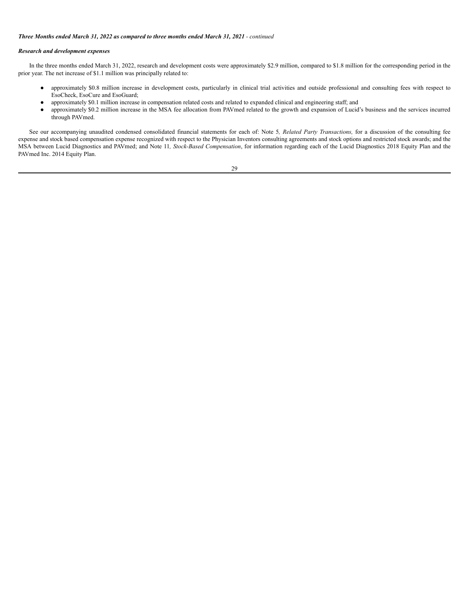# *Three Months ended March 31, 2022 as compared to three months ended March 31, 2021 - continued*

# *Research and development expenses*

In the three months ended March 31, 2022, research and development costs were approximately \$2.9 million, compared to \$1.8 million for the corresponding period in the prior year. The net increase of \$1.1 million was principally related to:

- approximately \$0.8 million increase in development costs, particularly in clinical trial activities and outside professional and consulting fees with respect to EsoCheck, EsoCure and EsoGuard;
- approximately \$0.1 million increase in compensation related costs and related to expanded clinical and engineering staff; and
- approximately \$0.2 million increase in the MSA fee allocation from PAVmed related to the growth and expansion of Lucid's business and the services incurred through PAVmed.

See our accompanying unaudited condensed consolidated financial statements for each of: Note 5*, Related Party Transactions,* for a discussion of the consulting fee expense and stock based compensation expense recognized with respect to the Physician Inventors consulting agreements and stock options and restricted stock awards; and the MSA between Lucid Diagnostics and PAVmed; and Note 11*, Stock-Based Compensation*, for information regarding each of the Lucid Diagnostics 2018 Equity Plan and the PAVmed Inc. 2014 Equity Plan.

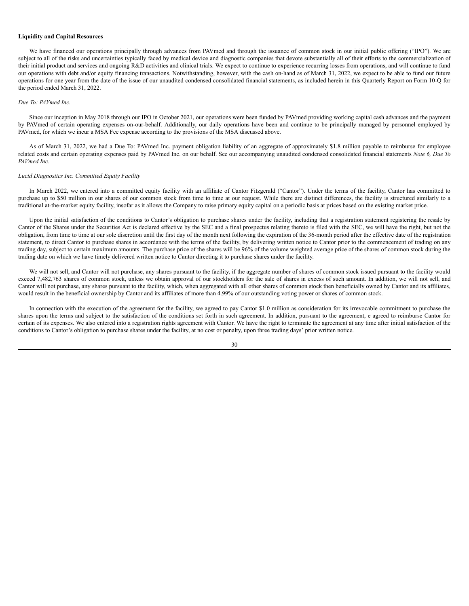# **Liquidity and Capital Resources**

We have financed our operations principally through advances from PAVmed and through the issuance of common stock in our initial public offering ("IPO"). We are subject to all of the risks and uncertainties typically faced by medical device and diagnostic companies that devote substantially all of their efforts to the commercialization of their initial product and services and ongoing R&D activities and clinical trials. We expect to continue to experience recurring losses from operations, and will continue to fund our operations with debt and/or equity financing transactions. Notwithstanding, however, with the cash on-hand as of March 31, 2022, we expect to be able to fund our future operations for one year from the date of the issue of our unaudited condensed consolidated financial statements, as included herein in this Quarterly Report on Form 10-Q for the period ended March 31, 2022.

# *Due To: PAVmed Inc.*

Since our inception in May 2018 through our IPO in October 2021, our operations were been funded by PAVmed providing working capital cash advances and the payment by PAVmed of certain operating expenses on-our-behalf. Additionally, our daily operations have been and continue to be principally managed by personnel employed by PAVmed, for which we incur a MSA Fee expense according to the provisions of the MSA discussed above.

As of March 31, 2022, we had a Due To: PAVmed Inc. payment obligation liability of an aggregate of approximately \$1.8 million payable to reimburse for employee related costs and certain operating expenses paid by PAVmed Inc. on our behalf. See our accompanying unaudited condensed consolidated financial statements *Note 6, Due To PAVmed Inc.*

# *Lucid Diagnostics Inc. Committed Equity Facility*

In March 2022, we entered into a committed equity facility with an affiliate of Cantor Fitzgerald ("Cantor"). Under the terms of the facility, Cantor has committed to purchase up to \$50 million in our shares of our common stock from time to time at our request. While there are distinct differences, the facility is structured similarly to a traditional at-the-market equity facility, insofar as it allows the Company to raise primary equity capital on a periodic basis at prices based on the existing market price.

Upon the initial satisfaction of the conditions to Cantor's obligation to purchase shares under the facility, including that a registration statement registering the resale by Cantor of the Shares under the Securities Act is declared effective by the SEC and a final prospectus relating thereto is filed with the SEC, we will have the right, but not the obligation, from time to time at our sole discretion until the first day of the month next following the expiration of the 36-month period after the effective date of the registration statement, to direct Cantor to purchase shares in accordance with the terms of the facility, by delivering written notice to Cantor prior to the commencement of trading on any trading day, subject to certain maximum amounts. The purchase price of the shares will be 96% of the volume weighted average price of the shares of common stock during the trading date on which we have timely delivered written notice to Cantor directing it to purchase shares under the facility.

We will not sell, and Cantor will not purchase, any shares pursuant to the facility, if the aggregate number of shares of common stock issued pursuant to the facility would exceed 7,482,763 shares of common stock, unless we obtain approval of our stockholders for the sale of shares in excess of such amount. In addition, we will not sell, and Cantor will not purchase, any shares pursuant to the facility, which, when aggregated with all other shares of common stock then beneficially owned by Cantor and its affiliates, would result in the beneficial ownership by Cantor and its affiliates of more than 4.99% of our outstanding voting power or shares of common stock.

In connection with the execution of the agreement for the facility, we agreed to pay Cantor \$1.0 million as consideration for its irrevocable commitment to purchase the shares upon the terms and subject to the satisfaction of the conditions set forth in such agreement. In addition, pursuant to the agreement, e agreed to reimburse Cantor for certain of its expenses. We also entered into a registration rights agreement with Cantor. We have the right to terminate the agreement at any time after initial satisfaction of the conditions to Cantor's obligation to purchase shares under the facility, at no cost or penalty, upon three trading days' prior written notice.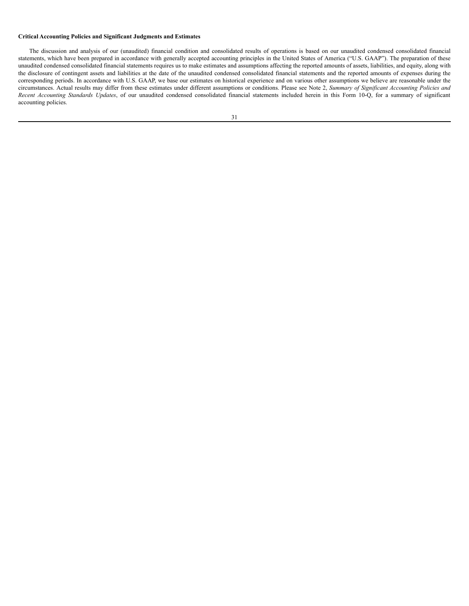## **Critical Accounting Policies and Significant Judgments and Estimates**

The discussion and analysis of our (unaudited) financial condition and consolidated results of operations is based on our unaudited condensed consolidated financial statements, which have been prepared in accordance with generally accepted accounting principles in the United States of America ("U.S. GAAP"). The preparation of these unaudited condensed consolidated financial statements requires us to make estimates and assumptions affecting the reported amounts of assets, liabilities, and equity, along with the disclosure of contingent assets and liabilities at the date of the unaudited condensed consolidated financial statements and the reported amounts of expenses during the corresponding periods. In accordance with U.S. GAAP, we base our estimates on historical experience and on various other assumptions we believe are reasonable under the circumstances. Actual results may differ from these estimates under different assumptions or conditions. Please see Note 2, *Summary of Significant Accounting Policies and Recent Accounting Standards Updates*, of our unaudited condensed consolidated financial statements included herein in this Form 10-Q, for a summary of significant accounting policies.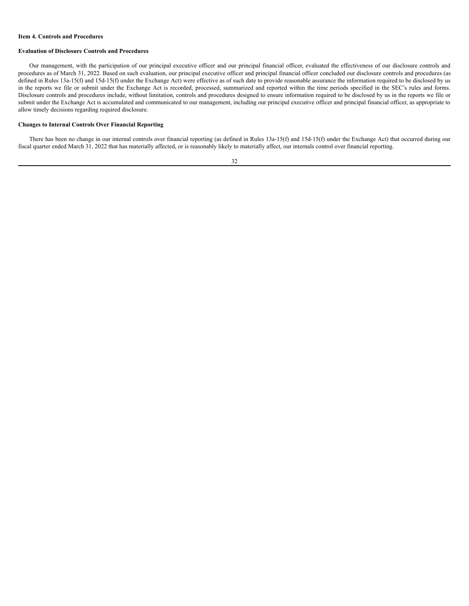# <span id="page-33-0"></span>**Item 4. Controls and Procedures**

# **Evaluation of Disclosure Controls and Procedures**

Our management, with the participation of our principal executive officer and our principal financial officer, evaluated the effectiveness of our disclosure controls and procedures as of March 31, 2022. Based on such evaluation, our principal executive officer and principal financial officer concluded our disclosure controls and procedures (as defined in Rules 13a-15(f) and 15d-15(f) under the Exchange Act) were effective as of such date to provide reasonable assurance the information required to be disclosed by us in the reports we file or submit under the Exchange Act is recorded, processed, summarized and reported within the time periods specified in the SEC's rules and forms. Disclosure controls and procedures include, without limitation, controls and procedures designed to ensure information required to be disclosed by us in the reports we file or submit under the Exchange Act is accumulated and communicated to our management, including our principal executive officer and principal financial officer, as appropriate to allow timely decisions regarding required disclosure.

# **Changes to Internal Controls Over Financial Reporting**

There has been no change in our internal controls over financial reporting (as defined in Rules 13a-15(f) and 15d-15(f) under the Exchange Act) that occurred during our fiscal quarter ended March 31, 2022 that has materially affected, or is reasonably likely to materially affect, our internals control over financial reporting.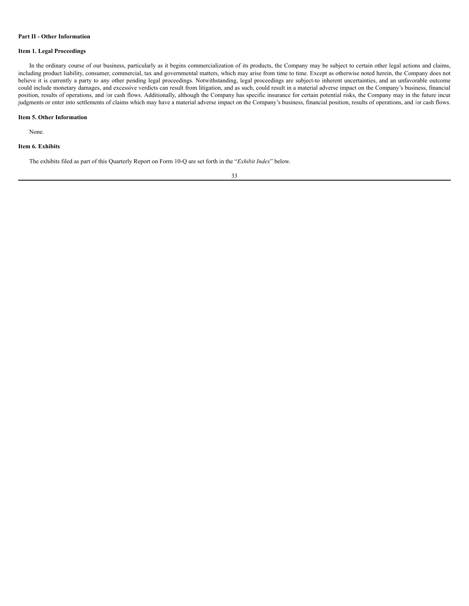# <span id="page-34-0"></span>**Part II - Other Information**

# <span id="page-34-1"></span>**Item 1. Legal Proceedings**

In the ordinary course of our business, particularly as it begins commercialization of its products, the Company may be subject to certain other legal actions and claims, including product liability, consumer, commercial, tax and governmental matters, which may arise from time to time. Except as otherwise noted herein, the Company does not believe it is currently a party to any other pending legal proceedings. Notwithstanding, legal proceedings are subject-to inherent uncertainties, and an unfavorable outcome could include monetary damages, and excessive verdicts can result from litigation, and as such, could result in a material adverse impact on the Company's business, financial position, results of operations, and /or cash flows. Additionally, although the Company has specific insurance for certain potential risks, the Company may in the future incur judgments or enter into settlements of claims which may have a material adverse impact on the Company's business, financial position, results of operations, and /or cash flows.

# <span id="page-34-2"></span>**Item 5. Other Information**

None.

# <span id="page-34-3"></span>**Item 6. Exhibits**

The exhibits filed as part of this Quarterly Report on Form 10-Q are set forth in the "*Exhibit Index*" below.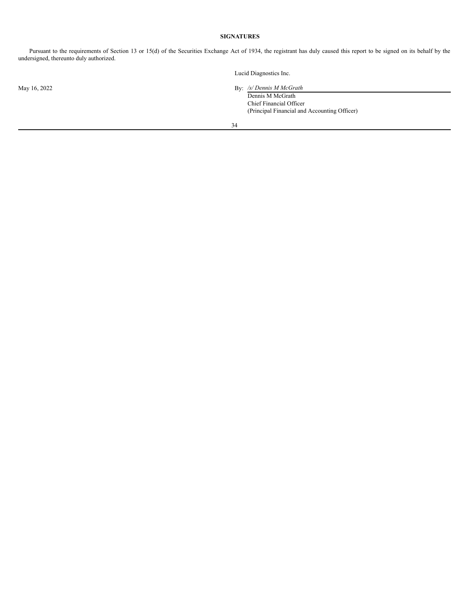# **SIGNATURES**

<span id="page-35-0"></span>Pursuant to the requirements of Section 13 or 15(d) of the Securities Exchange Act of 1934, the registrant has duly caused this report to be signed on its behalf by the undersigned, thereunto duly authorized.

Lucid Diagnostics Inc.

May 16, 2022 By: */s/ Dennis M McGrath* Dennis M McGrath Chief Financial Officer (Principal Financial and Accounting Officer)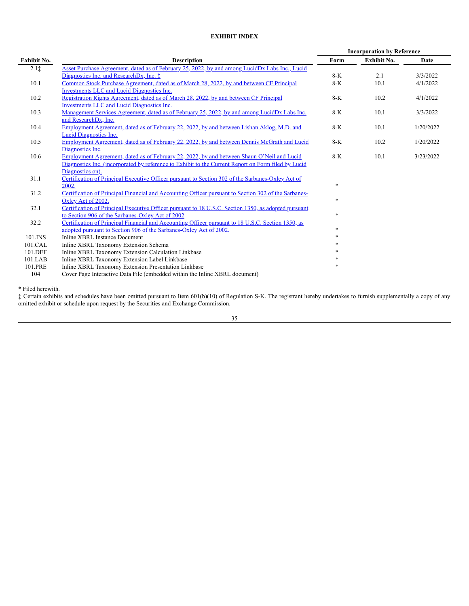# **EXHIBIT INDEX**

<span id="page-36-0"></span>

|                    |                                                                                                      | <b>Incorporation by Reference</b> |                    |           |
|--------------------|------------------------------------------------------------------------------------------------------|-----------------------------------|--------------------|-----------|
| <b>Exhibit No.</b> | <b>Description</b>                                                                                   | Form                              | <b>Exhibit No.</b> | Date      |
| $2.1$ ‡            | Asset Purchase Agreement, dated as of February 25, 2022, by and among LucidDx Labs Inc., Lucid       |                                   |                    |           |
|                    | Diagnostics Inc. and ResearchDx, Inc. $\ddagger$                                                     | $8-K$                             | 2.1                | 3/3/2022  |
| 10.1               | Common Stock Purchase Agreement, dated as of March 28, 2022, by and between CF Principal             | $8-K$                             | 10.1               | 4/1/2022  |
|                    | Investments LLC and Lucid Diagnostics Inc.                                                           |                                   |                    |           |
| 10.2               | Registration Rights Agreement, dated as of March 28, 2022, by and between CF Principal               | $8-K$                             | 10.2               | 4/1/2022  |
|                    | Investments LLC and Lucid Diagnostics Inc.                                                           |                                   |                    |           |
| 10.3               | Management Services Agreement, dated as of February 25, 2022, by and among LucidDx Labs Inc.         | $8-K$                             | 10.1               | 3/3/2022  |
|                    | and ResearchDx, Inc.                                                                                 |                                   |                    |           |
| 10.4               | Employment Agreement, dated as of February 22, 2022, by and between Lishan Aklog, M.D. and           | $8-K$                             | 10.1               | 1/20/2022 |
|                    | <b>Lucid Diagnostics Inc.</b>                                                                        |                                   |                    |           |
| 10.5               | Employment Agreement, dated as of February 22, 2022, by and between Dennis McGrath and Lucid         | $8-K$                             | 10.2               | 1/20/2022 |
|                    | Diagnostics Inc.                                                                                     |                                   |                    |           |
| 10.6               | Employment Agreement, dated as of February 22, 2022, by and between Shaun O'Neil and Lucid           | $8-K$                             | 10.1               | 3/23/2022 |
|                    | Diagnostics Inc. (incorporated by reference to Exhibit to the Current Report on Form filed by Lucid  |                                   |                    |           |
|                    | Diagnostics on).                                                                                     |                                   |                    |           |
| 31.1               | Certification of Principal Executive Officer pursuant to Section 302 of the Sarbanes-Oxley Act of    |                                   |                    |           |
|                    | 2002.                                                                                                | $\ast$                            |                    |           |
| 31.2               | Certification of Principal Financial and Accounting Officer pursuant to Section 302 of the Sarbanes- |                                   |                    |           |
|                    | Oxley Act of 2002.                                                                                   | $\ast$                            |                    |           |
| 32.1               | Certification of Principal Executive Officer pursuant to 18 U.S.C. Section 1350, as adopted pursuant |                                   |                    |           |
|                    | to Section 906 of the Sarbanes-Oxley Act of 2002                                                     | $\ast$                            |                    |           |
| 32.2               | Certification of Principal Financial and Accounting Officer pursuant to 18 U.S.C. Section 1350, as   |                                   |                    |           |
|                    | adopted pursuant to Section 906 of the Sarbanes-Oxley Act of 2002.                                   | $\ast$                            |                    |           |
| 101.INS            | Inline XBRL Instance Document                                                                        |                                   |                    |           |
| 101.CAL            | Inline XBRL Taxonomy Extension Schema                                                                |                                   |                    |           |
| 101.DEF            | Inline XBRL Taxonomy Extension Calculation Linkbase                                                  |                                   |                    |           |
| 101.LAB            | Inline XBRL Taxonomy Extension Label Linkbase                                                        |                                   |                    |           |
| 101.PRE            | Inline XBRL Taxonomy Extension Presentation Linkbase                                                 | $\ast$                            |                    |           |
| 104                | Cover Page Interactive Data File (embedded within the Inline XBRL document)                          |                                   |                    |           |

\* Filed herewith.

‡ Certain exhibits and schedules have been omitted pursuant to Item 601(b)(10) of Regulation S-K. The registrant hereby undertakes to furnish supplementally a copy of any omitted exhibit or schedule upon request by the Securities and Exchange Commission.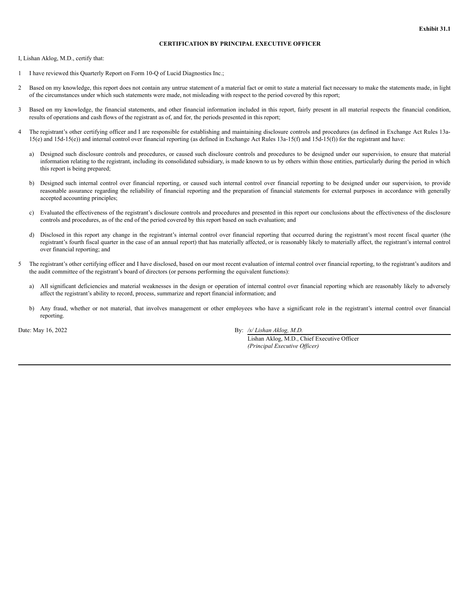# **CERTIFICATION BY PRINCIPAL EXECUTIVE OFFICER**

I, Lishan Aklog, M.D., certify that:

- 1 I have reviewed this Quarterly Report on Form 10-Q of Lucid Diagnostics Inc.;
- 2 Based on my knowledge, this report does not contain any untrue statement of a material fact or omit to state a material fact necessary to make the statements made, in light of the circumstances under which such statements were made, not misleading with respect to the period covered by this report;
- 3 Based on my knowledge, the financial statements, and other financial information included in this report, fairly present in all material respects the financial condition, results of operations and cash flows of the registrant as of, and for, the periods presented in this report;
- 4 The registrant's other certifying officer and I are responsible for establishing and maintaining disclosure controls and procedures (as defined in Exchange Act Rules 13a-15(e) and 15d-15(e)) and internal control over financial reporting (as defined in Exchange Act Rules 13a-15(f) and 15d-15(f)) for the registrant and have:
	- a) Designed such disclosure controls and procedures, or caused such disclosure controls and procedures to be designed under our supervision, to ensure that material information relating to the registrant, including its consolidated subsidiary, is made known to us by others within those entities, particularly during the period in which this report is being prepared;
	- b) Designed such internal control over financial reporting, or caused such internal control over financial reporting to be designed under our supervision, to provide reasonable assurance regarding the reliability of financial reporting and the preparation of financial statements for external purposes in accordance with generally accepted accounting principles;
	- c) Evaluated the effectiveness of the registrant's disclosure controls and procedures and presented in this report our conclusions about the effectiveness of the disclosure controls and procedures, as of the end of the period covered by this report based on such evaluation; and
	- d) Disclosed in this report any change in the registrant's internal control over financial reporting that occurred during the registrant's most recent fiscal quarter (the registrant's fourth fiscal quarter in the case of an annual report) that has materially affected, or is reasonably likely to materially affect, the registrant's internal control over financial reporting; and
- 5 The registrant's other certifying officer and I have disclosed, based on our most recent evaluation of internal control over financial reporting, to the registrant's auditors and the audit committee of the registrant's board of directors (or persons performing the equivalent functions):
	- All significant deficiencies and material weaknesses in the design or operation of internal control over financial reporting which are reasonably likely to adversely affect the registrant's ability to record, process, summarize and report financial information; and
	- b) Any fraud, whether or not material, that involves management or other employees who have a significant role in the registrant's internal control over financial reporting.

Date: May 16, 2022 By: */s/ Lishan Aklog, M.D.*

Lishan Aklog, M.D., Chief Executive Officer *(Principal Executive Of icer)*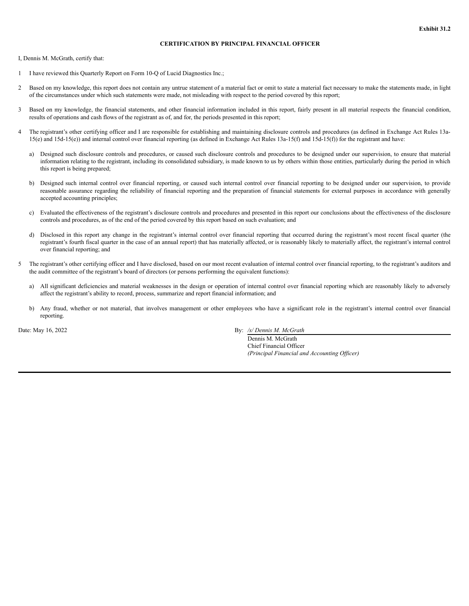# **CERTIFICATION BY PRINCIPAL FINANCIAL OFFICER**

I, Dennis M. McGrath, certify that:

- 1 I have reviewed this Quarterly Report on Form 10-Q of Lucid Diagnostics Inc.;
- 2 Based on my knowledge, this report does not contain any untrue statement of a material fact or omit to state a material fact necessary to make the statements made, in light of the circumstances under which such statements were made, not misleading with respect to the period covered by this report;
- 3 Based on my knowledge, the financial statements, and other financial information included in this report, fairly present in all material respects the financial condition, results of operations and cash flows of the registrant as of, and for, the periods presented in this report;
- 4 The registrant's other certifying officer and I are responsible for establishing and maintaining disclosure controls and procedures (as defined in Exchange Act Rules 13a-15(e) and 15d-15(e)) and internal control over financial reporting (as defined in Exchange Act Rules 13a-15(f) and 15d-15(f)) for the registrant and have:
	- a) Designed such disclosure controls and procedures, or caused such disclosure controls and procedures to be designed under our supervision, to ensure that material information relating to the registrant, including its consolidated subsidiary, is made known to us by others within those entities, particularly during the period in which this report is being prepared;
	- b) Designed such internal control over financial reporting, or caused such internal control over financial reporting to be designed under our supervision, to provide reasonable assurance regarding the reliability of financial reporting and the preparation of financial statements for external purposes in accordance with generally accepted accounting principles;
	- c) Evaluated the effectiveness of the registrant's disclosure controls and procedures and presented in this report our conclusions about the effectiveness of the disclosure controls and procedures, as of the end of the period covered by this report based on such evaluation; and
	- d) Disclosed in this report any change in the registrant's internal control over financial reporting that occurred during the registrant's most recent fiscal quarter (the registrant's fourth fiscal quarter in the case of an annual report) that has materially affected, or is reasonably likely to materially affect, the registrant's internal control over financial reporting; and
- 5 The registrant's other certifying officer and I have disclosed, based on our most recent evaluation of internal control over financial reporting, to the registrant's auditors and the audit committee of the registrant's board of directors (or persons performing the equivalent functions):
	- All significant deficiencies and material weaknesses in the design or operation of internal control over financial reporting which are reasonably likely to adversely affect the registrant's ability to record, process, summarize and report financial information; and
	- b) Any fraud, whether or not material, that involves management or other employees who have a significant role in the registrant's internal control over financial reporting.

Date: May 16, 2022 By: */s/ Dennis M. McGrath*

Dennis M. McGrath Chief Financial Officer *(Principal Financial and Accounting Of icer)*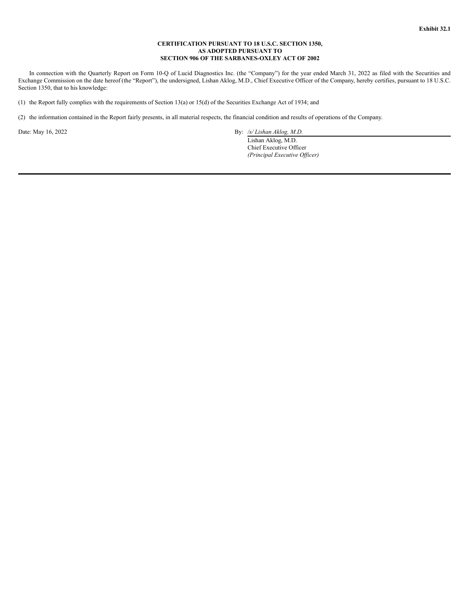# **CERTIFICATION PURSUANT TO 18 U.S.C. SECTION 1350, AS ADOPTED PURSUANT TO SECTION 906 OF THE SARBANES-OXLEY ACT OF 2002**

In connection with the Quarterly Report on Form 10-Q of Lucid Diagnostics Inc. (the "Company") for the year ended March 31, 2022 as filed with the Securities and Exchange Commission on the date hereof (the "Report"), the undersigned, Lishan Aklog, M.D., Chief Executive Officer of the Company, hereby certifies, pursuant to 18 U.S.C. Section 1350, that to his knowledge:

(1) the Report fully complies with the requirements of Section 13(a) or 15(d) of the Securities Exchange Act of 1934; and

(2) the information contained in the Report fairly presents, in all material respects, the financial condition and results of operations of the Company.

Date: May 16, 2022 By: */s/ Lishan Aklog, M.D.*

Lishan Aklog, M.D. Chief Executive Officer *(Principal Executive Of icer)*